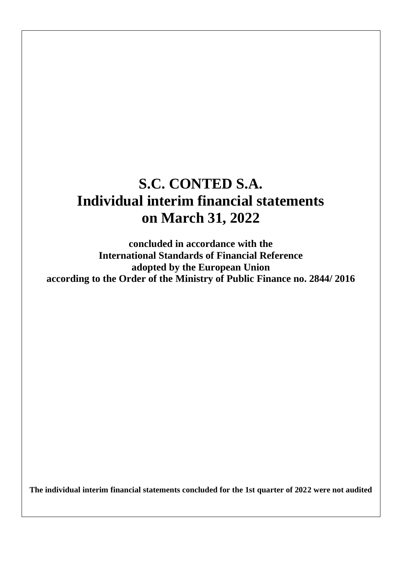# **S.C. CONTED S.A. Individual interim financial statements on March 31, 2022**

**concluded in accordance with the International Standards of Financial Reference adopted by the European Union according to the Order of the Ministry of Public Finance no. 2844/ 2016**

**The individual interim financial statements concluded for the 1st quarter of 2022 were not audited**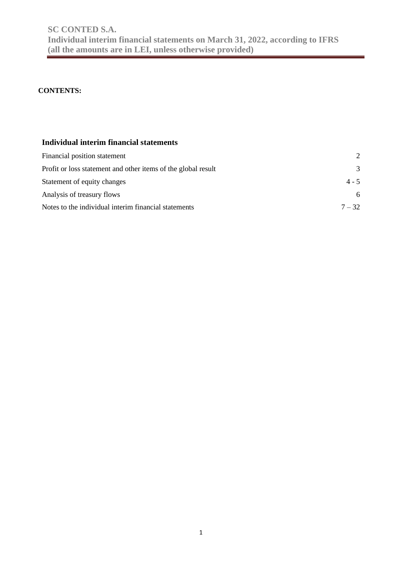### **CONTENTS:**

### **Individual interim financial statements**

| Financial position statement                                  | $\mathcal{D}_{\mathcal{L}}$ |
|---------------------------------------------------------------|-----------------------------|
| Profit or loss statement and other items of the global result | $\mathcal{R}$               |
| Statement of equity changes                                   | $4 - 5$                     |
| Analysis of treasury flows                                    | 6                           |
| Notes to the individual interim financial statements          | $7 - 32$                    |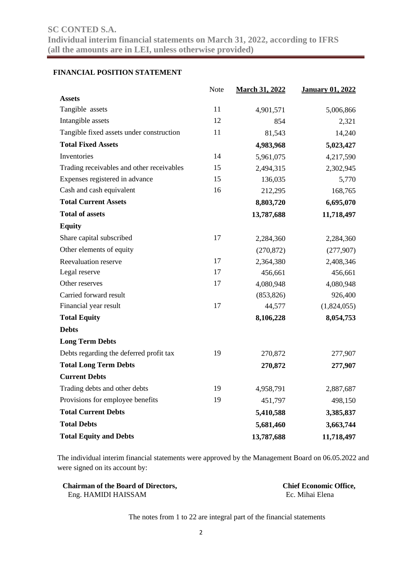### **FINANCIAL POSITION STATEMENT**

|                                           | Note | <b>March 31, 2022</b> | <b>January 01, 2022</b> |
|-------------------------------------------|------|-----------------------|-------------------------|
| <b>Assets</b>                             |      |                       |                         |
| Tangible assets                           | 11   | 4,901,571             | 5,006,866               |
| Intangible assets                         | 12   | 854                   | 2,321                   |
| Tangible fixed assets under construction  | 11   | 81,543                | 14,240                  |
| <b>Total Fixed Assets</b>                 |      | 4,983,968             | 5,023,427               |
| Inventories                               | 14   | 5,961,075             | 4,217,590               |
| Trading receivables and other receivables | 15   | 2,494,315             | 2,302,945               |
| Expenses registered in advance            | 15   | 136,035               | 5,770                   |
| Cash and cash equivalent                  | 16   | 212,295               | 168,765                 |
| <b>Total Current Assets</b>               |      | 8,803,720             | 6,695,070               |
| <b>Total of assets</b>                    |      | 13,787,688            | 11,718,497              |
| <b>Equity</b>                             |      |                       |                         |
| Share capital subscribed                  | 17   | 2,284,360             | 2,284,360               |
| Other elements of equity                  |      | (270, 872)            | (277,907)               |
| Reevaluation reserve                      | 17   | 2,364,380             | 2,408,346               |
| Legal reserve                             | 17   | 456,661               | 456,661                 |
| Other reserves                            | 17   | 4,080,948             | 4,080,948               |
| Carried forward result                    |      | (853, 826)            | 926,400                 |
| Financial year result                     | 17   | 44,577                | (1,824,055)             |
| <b>Total Equity</b>                       |      | 8,106,228             | 8,054,753               |
| <b>Debts</b>                              |      |                       |                         |
| <b>Long Term Debts</b>                    |      |                       |                         |
| Debts regarding the deferred profit tax   | 19   | 270,872               | 277,907                 |
| <b>Total Long Term Debts</b>              |      | 270,872               | 277,907                 |
| <b>Current Debts</b>                      |      |                       |                         |
| Trading debts and other debts             | 19   | 4,958,791             | 2,887,687               |
| Provisions for employee benefits          | 19   | 451,797               | 498,150                 |
| <b>Total Current Debts</b>                |      | 5,410,588             | 3,385,837               |
| <b>Total Debts</b>                        |      | 5,681,460             | 3,663,744               |
| <b>Total Equity and Debts</b>             |      | 13,787,688            | 11,718,497              |

The individual interim financial statements were approved by the Management Board on 06.05.2022 and were signed on its account by:

| <b>Chairman of the Board of Directors,</b> | <b>Chief Economic Office,</b> |
|--------------------------------------------|-------------------------------|
| Eng. HAMIDI HAISSAM                        | Ec. Mihai Elena               |

The notes from 1 to 22 are integral part of the financial statements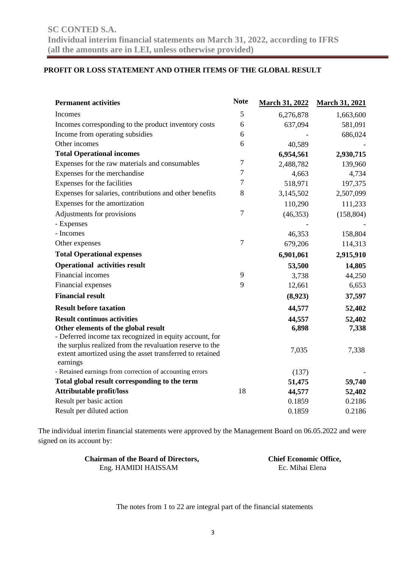### **PROFIT OR LOSS STATEMENT AND OTHER ITEMS OF THE GLOBAL RESULT**

| <b>Permanent activities</b>                                                                                                                                                     | <b>Note</b> | <b>March 31, 2022</b> | <b>March 31, 2021</b> |
|---------------------------------------------------------------------------------------------------------------------------------------------------------------------------------|-------------|-----------------------|-----------------------|
| Incomes                                                                                                                                                                         | 5           | 6,276,878             | 1,663,600             |
| Incomes corresponding to the product inventory costs                                                                                                                            | 6           | 637,094               | 581,091               |
| Income from operating subsidies                                                                                                                                                 | 6           |                       | 686,024               |
| Other incomes                                                                                                                                                                   | 6           | 40,589                |                       |
| <b>Total Operational incomes</b>                                                                                                                                                |             | 6,954,561             | 2,930,715             |
| Expenses for the raw materials and consumables                                                                                                                                  | 7           | 2,488,782             | 139,960               |
| Expenses for the merchandise                                                                                                                                                    | 7           | 4,663                 | 4,734                 |
| Expenses for the facilities                                                                                                                                                     | 7           | 518,971               | 197,375               |
| Expenses for salaries, contributions and other benefits                                                                                                                         | 8           | 3,145,502             | 2,507,099             |
| Expenses for the amortization                                                                                                                                                   |             | 110,290               | 111,233               |
| Adjustments for provisions                                                                                                                                                      | $\tau$      | (46, 353)             | (158, 804)            |
| - Expenses                                                                                                                                                                      |             |                       |                       |
| - Incomes                                                                                                                                                                       |             | 46,353                | 158,804               |
| Other expenses                                                                                                                                                                  | 7           | 679,206               | 114,313               |
| <b>Total Operational expenses</b>                                                                                                                                               |             | 6,901,061             | 2,915,910             |
| <b>Operational activities result</b>                                                                                                                                            |             | 53,500                | 14,805                |
| Financial incomes                                                                                                                                                               | 9           | 3,738                 | 44,250                |
| Financial expenses                                                                                                                                                              | 9           | 12,661                | 6,653                 |
| <b>Financial result</b>                                                                                                                                                         |             | (8,923)               | 37,597                |
| <b>Result before taxation</b>                                                                                                                                                   |             | 44,577                | 52,402                |
| <b>Result continuos activities</b>                                                                                                                                              |             | 44,557                | 52,402                |
| Other elements of the global result                                                                                                                                             |             | 6,898                 | 7,338                 |
| - Deferred income tax recognized in equity account, for<br>the surplus realized from the revaluation reserve to the<br>extent amortized using the asset transferred to retained |             | 7,035                 | 7,338                 |
| earnings                                                                                                                                                                        |             |                       |                       |
| - Retained earnings from correction of accounting errors                                                                                                                        |             | (137)                 |                       |
| Total global result corresponding to the term                                                                                                                                   |             | 51,475                | 59,740                |
| <b>Attributable profit/loss</b>                                                                                                                                                 | 18          | 44,577                | 52,402                |
| Result per basic action                                                                                                                                                         |             | 0.1859                | 0.2186                |
| Result per diluted action                                                                                                                                                       |             | 0.1859                | 0.2186                |

The individual interim financial statements were approved by the Management Board on 06.05.2022 and were signed on its account by:

| <b>Chairman of the Board of Directors,</b> | <b>Chief Economic Office,</b> |
|--------------------------------------------|-------------------------------|
| Eng. HAMIDI HAISSAM                        | Ec. Mihai Elena               |

The notes from 1 to 22 are integral part of the financial statements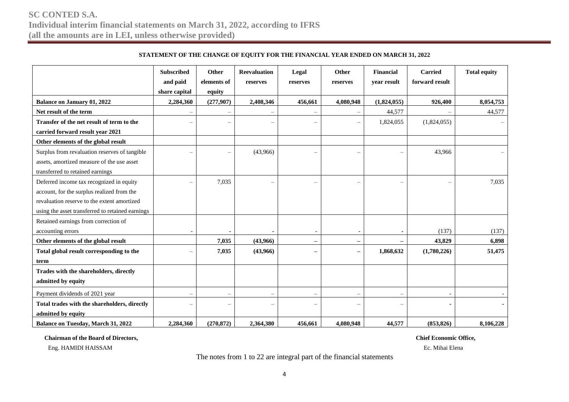|                                                  | <b>Subscribed</b><br>and paid | Other<br>elements of     | <b>Reevaluation</b><br>reserves | Legal<br>reserves        | Other<br>reserves | Financial<br>year result | <b>Carried</b><br>forward result | <b>Total equity</b> |
|--------------------------------------------------|-------------------------------|--------------------------|---------------------------------|--------------------------|-------------------|--------------------------|----------------------------------|---------------------|
|                                                  | share capital                 | equity                   |                                 |                          |                   |                          |                                  |                     |
| <b>Balance on January 01, 2022</b>               | 2,284,360                     | (277,907)                | 2,408,346                       | 456,661                  | 4,080,948         | (1,824,055)              | 926,400                          | 8,054,753           |
| Net result of the term                           |                               |                          |                                 |                          |                   | 44,577                   |                                  | 44,577              |
| Transfer of the net result of term to the        |                               |                          |                                 |                          |                   | 1,824,055                | (1,824,055)                      |                     |
| carried forward result year 2021                 |                               |                          |                                 |                          |                   |                          |                                  |                     |
| Other elements of the global result              |                               |                          |                                 |                          |                   |                          |                                  |                     |
| Surplus from revaluation reserves of tangible    |                               |                          | (43,966)                        | $\overline{\phantom{0}}$ |                   |                          | 43,966                           |                     |
| assets, amortized measure of the use asset       |                               |                          |                                 |                          |                   |                          |                                  |                     |
| transferred to retained earnings                 |                               |                          |                                 |                          |                   |                          |                                  |                     |
| Deferred income tax recognized in equity         | $\overline{\phantom{0}}$      | 7,035                    | $\overline{\phantom{0}}$        | ÷                        | <u>—</u>          | $\overline{\phantom{0}}$ | $\overline{\phantom{0}}$         | 7,035               |
| account, for the surplus realized from the       |                               |                          |                                 |                          |                   |                          |                                  |                     |
| revaluation reserve to the extent amortized      |                               |                          |                                 |                          |                   |                          |                                  |                     |
| using the asset transferred to retained earnings |                               |                          |                                 |                          |                   |                          |                                  |                     |
| Retained earnings from correction of             |                               |                          |                                 |                          |                   |                          |                                  |                     |
| accounting errors                                |                               |                          |                                 |                          |                   |                          | (137)                            | (137)               |
| Other elements of the global result              |                               | 7,035                    | (43,966)                        | $\qquad \qquad -$        | —                 |                          | 43,829                           | 6,898               |
| Total global result corresponding to the         |                               | 7,035                    | (43,966)                        | $\overline{\phantom{0}}$ |                   | 1,868,632                | (1,780,226)                      | 51,475              |
| term                                             |                               |                          |                                 |                          |                   |                          |                                  |                     |
| Trades with the shareholders, directly           |                               |                          |                                 |                          |                   |                          |                                  |                     |
| admitted by equity                               |                               |                          |                                 |                          |                   |                          |                                  |                     |
| Payment dividends of 2021 year                   | $\overline{\phantom{0}}$      |                          |                                 | $\overline{\phantom{a}}$ |                   |                          |                                  |                     |
| Total trades with the shareholders, directly     | L                             | $\overline{\phantom{0}}$ |                                 | $\overline{\phantom{0}}$ |                   | $\overline{\phantom{a}}$ |                                  |                     |
| admitted by equity                               |                               |                          |                                 |                          |                   |                          |                                  |                     |
| <b>Balance on Tuesday, March 31, 2022</b>        | 2,284,360                     | (270, 872)               | 2.364.380                       | 456,661                  | 4.080.948         | 44,577                   | (853.826)                        | 8.106.228           |

#### **STATEMENT OF THE CHANGE OF EQUITY FOR THE FINANCIAL YEAR ENDED ON MARCH 31, 2022**

 **Chairman of the Board of Directors, Chief Economic Office,** 

Eng. HAMIDI HAISSAM Ec. Mihai Elena

The notes from 1 to 22 are integral part of the financial statements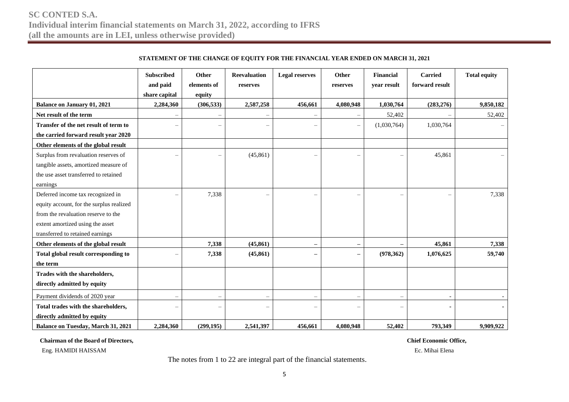|  | STATEMENT OF THE CHANGE OF EOUITY FOR THE FINANCIAL YEAR ENDED ON MARCH 31, 2021 |  |  |  |
|--|----------------------------------------------------------------------------------|--|--|--|
|--|----------------------------------------------------------------------------------|--|--|--|

|                                           | <b>Subscribed</b><br>and paid<br>share capital | Other<br>elements of<br>equity | <b>Reevaluation</b><br>reserves | <b>Legal reserves</b>    | Other<br>reserves        | <b>Financial</b><br>year result | <b>Carried</b><br>forward result | <b>Total equity</b> |
|-------------------------------------------|------------------------------------------------|--------------------------------|---------------------------------|--------------------------|--------------------------|---------------------------------|----------------------------------|---------------------|
| <b>Balance on January 01, 2021</b>        | 2,284,360                                      | (306, 533)                     | 2,587,258                       | 456,661                  | 4,080,948                | 1,030,764                       | (283, 276)                       | 9,850,182           |
| Net result of the term                    |                                                |                                |                                 | $\overline{\phantom{a}}$ |                          | 52,402                          |                                  | 52,402              |
| Transfer of the net result of term to     |                                                |                                |                                 | ÷                        |                          | (1,030,764)                     | 1,030,764                        |                     |
| the carried forward result year 2020      |                                                |                                |                                 |                          |                          |                                 |                                  |                     |
| Other elements of the global result       |                                                |                                |                                 |                          |                          |                                 |                                  |                     |
| Surplus from revaluation reserves of      |                                                |                                | (45, 861)                       |                          |                          |                                 | 45,861                           |                     |
| tangible assets, amortized measure of     |                                                |                                |                                 |                          |                          |                                 |                                  |                     |
| the use asset transferred to retained     |                                                |                                |                                 |                          |                          |                                 |                                  |                     |
| earnings                                  |                                                |                                |                                 |                          |                          |                                 |                                  |                     |
| Deferred income tax recognized in         |                                                | 7,338                          |                                 | $\overline{\phantom{a}}$ |                          |                                 | $\overline{\phantom{a}}$         | 7,338               |
| equity account, for the surplus realized  |                                                |                                |                                 |                          |                          |                                 |                                  |                     |
| from the revaluation reserve to the       |                                                |                                |                                 |                          |                          |                                 |                                  |                     |
| extent amortized using the asset          |                                                |                                |                                 |                          |                          |                                 |                                  |                     |
| transferred to retained earnings          |                                                |                                |                                 |                          |                          |                                 |                                  |                     |
| Other elements of the global result       |                                                | 7,338                          | (45, 861)                       | $\qquad \qquad -$        | $\overline{\phantom{m}}$ | $\overline{\phantom{m}}$        | 45,861                           | 7,338               |
| Total global result corresponding to      |                                                | 7,338                          | (45, 861)                       | $\overline{\phantom{0}}$ | $\overline{\phantom{m}}$ | (978, 362)                      | 1,076,625                        | 59,740              |
| the term                                  |                                                |                                |                                 |                          |                          |                                 |                                  |                     |
| Trades with the shareholders,             |                                                |                                |                                 |                          |                          |                                 |                                  |                     |
| directly admitted by equity               |                                                |                                |                                 |                          |                          |                                 |                                  |                     |
| Payment dividends of 2020 year            | $\overline{\phantom{a}}$                       | $\overline{\phantom{a}}$       | $\overline{\phantom{0}}$        | $\overline{\phantom{m}}$ |                          | $\overline{\phantom{a}}$        |                                  |                     |
| Total trades with the shareholders,       |                                                |                                |                                 | ÷                        |                          |                                 |                                  |                     |
| directly admitted by equity               |                                                |                                |                                 |                          |                          |                                 |                                  |                     |
| <b>Balance on Tuesday, March 31, 2021</b> | 2,284,360                                      | (299, 195)                     | 2,541,397                       | 456,661                  | 4,080,948                | 52,402                          | 793,349                          | 9,909,922           |

 **Chairman of the Board of Directors, Chief Economic Office,** 

Eng. HAMIDI HAISSAM Ec. Mihai Elena

The notes from 1 to 22 are integral part of the financial statements.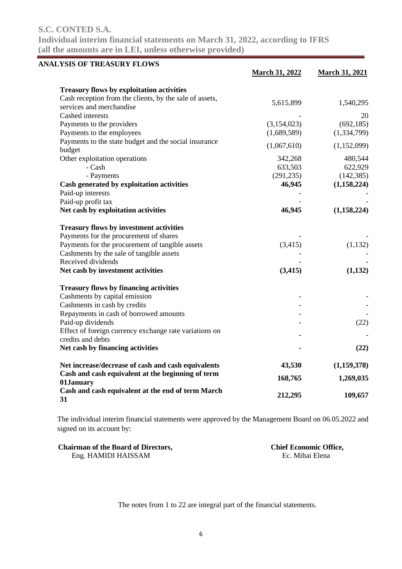**Individual interim financial statements on March 31, 2022, according to IFRS (all the amounts are in LEI, unless otherwise provided)**

| <b>ANALYSIS OF TREASURY FLOWS</b>                              |                       |                       |
|----------------------------------------------------------------|-----------------------|-----------------------|
|                                                                | <b>March 31, 2022</b> | <b>March 31, 2021</b> |
| <b>Treasury flows by exploitation activities</b>               |                       |                       |
| Cash reception from the clients, by the sale of assets,        | 5,615,899             |                       |
| services and merchandise                                       |                       | 1,540,295             |
| Cashed interests                                               |                       | 20                    |
| Payments to the providers                                      | (3, 154, 023)         | (692, 185)            |
| Payments to the employees                                      | (1,689,589)           | (1, 334, 799)         |
| Payments to the state budget and the social insurance          |                       |                       |
| budget                                                         | (1,067,610)           | (1,152,099)           |
| Other exploitation operations                                  | 342,268               | 480,544               |
| - Cash                                                         | 633,503               | 622,929               |
| - Payments                                                     | (291, 235)            | (142, 385)            |
| Cash generated by exploitation activities                      | 46,945                | (1, 158, 224)         |
| Paid-up interests                                              |                       |                       |
| Paid-up profit tax                                             |                       |                       |
| Net cash by exploitation activities                            | 46,945                | (1,158,224)           |
| <b>Treasury flows by investment activities</b>                 |                       |                       |
| Payments for the procurement of shares                         |                       |                       |
| Payments for the procurement of tangible assets                | (3,415)               | (1, 132)              |
| Cashments by the sale of tangible assets                       |                       |                       |
| Received dividends                                             |                       |                       |
| Net cash by investment activities                              | (3,415)               | (1, 132)              |
| <b>Treasury flows by financing activities</b>                  |                       |                       |
| Cashments by capital emission                                  |                       |                       |
| Cashments in cash by credits                                   |                       |                       |
| Repayments in cash of borrowed amounts                         |                       |                       |
| Paid-up dividends                                              |                       | (22)                  |
| Effect of foreign currency exchange rate variations on         |                       |                       |
| credits and debts                                              |                       |                       |
| Net cash by financing activities                               |                       | (22)                  |
| Net increase/decrease of cash and cash equivalents             | 43,530                | (1,159,378)           |
| Cash and cash equivalent at the beginning of term              | 168,765               | 1,269,035             |
| 01January<br>Cash and cash equivalent at the end of term March |                       |                       |
| 31                                                             | 212,295               | 109,657               |

The individual interim financial statements were approved by the Management Board on 06.05.2022 and signed on its account by:

| <b>Chairman of the Board of Directors,</b> | <b>Chief Economic Office,</b> |
|--------------------------------------------|-------------------------------|
| Eng. HAMIDI HAISSAM                        | Ec. Mihai Elena               |

The notes from 1 to 22 are integral part of the financial statements.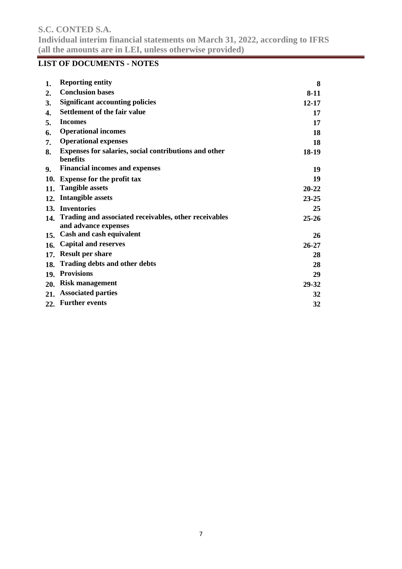### **LIST OF DOCUMENTS - NOTES**

| 1.  | <b>Reporting entity</b>                                                       | 8         |
|-----|-------------------------------------------------------------------------------|-----------|
| 2.  | <b>Conclusion bases</b>                                                       | $8-11$    |
| 3.  | <b>Significant accounting policies</b>                                        | $12 - 17$ |
| 4.  | <b>Settlement of the fair value</b>                                           | 17        |
| 5.  | <b>Incomes</b>                                                                | 17        |
| 6.  | <b>Operational incomes</b>                                                    | 18        |
| 7.  | <b>Operational expenses</b>                                                   | 18        |
| 8.  | Expenses for salaries, social contributions and other<br>benefits             | 18-19     |
| 9.  | <b>Financial incomes and expenses</b>                                         | 19        |
| 10. | <b>Expense for the profit tax</b>                                             | 19        |
| 11. | <b>Tangible assets</b>                                                        | $20 - 22$ |
| 12. | Intangible assets                                                             | $23 - 25$ |
|     | 13. Inventories                                                               | 25        |
| 14. | Trading and associated receivables, other receivables<br>and advance expenses | $25 - 26$ |
|     | 15. Cash and cash equivalent                                                  | 26        |
| 16. | <b>Capital and reserves</b>                                                   | $26 - 27$ |
| 17. | <b>Result per share</b>                                                       | 28        |
| 18. | <b>Trading debts and other debts</b>                                          | 28        |
|     | 19. Provisions                                                                | 29        |
| 20. | <b>Risk management</b>                                                        | 29-32     |
| 21. | <b>Associated parties</b>                                                     | 32        |
|     | 22. Further events                                                            | 32        |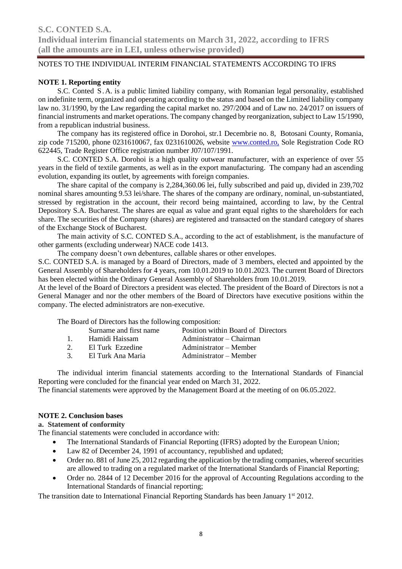### **NOTE 1. Reporting entity**

S.C. Conted S.A. is a public limited liability company, with Romanian legal personality, established on indefinite term, organized and operating according to the status and based on the Limited liability company law no. 31/1990, by the Law regarding the capital market no. 297/2004 and of Law no. 24/2017 on issuers of financial instruments and market operations. The company changed by reorganization, subject to Law 15/1990, from a republican industrial business.

The company has its registered office in Dorohoi, str.1 Decembrie no. 8, Botosani County, Romania, zip code 715200, phone 0231610067, fax 0231610026, website www.conted.ro, Sole Registration Code RO 622445, Trade Register Office registration number J07/107/1991.

S.C. CONTED S.A. Dorohoi is a high quality outwear manufacturer, with an experience of over 55 years in the field of textile garments, as well as in the export manufacturing. The company had an ascending evolution, expanding its outlet, by agreements with foreign companies.

The share capital of the company is 2,284,360.06 lei, fully subscribed and paid up, divided in 239,702 nominal shares amounting 9.53 lei/share. The shares of the company are ordinary, nominal, un-substantiated, stressed by registration in the account, their record being maintained, according to law, by the Central Depository S.A. Bucharest. The shares are equal as value and grant equal rights to the shareholders for each share. The securities of the Company (shares) are registered and transacted on the standard category of shares of the Exchange Stock of Bucharest.

The main activity of S.C. CONTED S.A., according to the act of establishment, is the manufacture of other garments (excluding underwear) NACE code 1413.

The company doesn't own debentures, callable shares or other envelopes.

S.C. CONTED S.A. is managed by a Board of Directors, made of 3 members, elected and appointed by the General Assembly of Shareholders for 4 years, rom 10.01.2019 to 10.01.2023. The current Board of Directors has been elected within the Ordinary General Assembly of Shareholders from 10.01.2019.

At the level of the Board of Directors a president was elected. The president of the Board of Directors is not a General Manager and nor the other members of the Board of Directors have executive positions within the company. The elected administrators are non-executive.

The Board of Directors has the following composition:

- 1. Hamidi Haissam Administrator Chairman
	-
- 2. El Turk Ezzedine Administrator Member 3. El Turk Ana Maria **Administrator** – Member
- The individual interim financial statements according to the International Standards of Financial

Reporting were concluded for the financial year ended on March 31, 2022. The financial statements were approved by the Management Board at the meeting of on 06.05.2022.

### **NOTE 2. Conclusion bases**

### **a. Statement of conformity**

The financial statements were concluded in accordance with:

- The International Standards of Financial Reporting (IFRS) adopted by the European Union;
- Law 82 of December 24, 1991 of accountancy, republished and updated;
- Order no. 881 of June 25, 2012 regarding the application by the trading companies, whereof securities are allowed to trading on a regulated market of the International Standards of Financial Reporting;
- Order no. 2844 of 12 December 2016 for the approval of Accounting Regulations according to the International Standards of financial reporting;

The transition date to International Financial Reporting Standards has been January 1<sup>st</sup> 2012.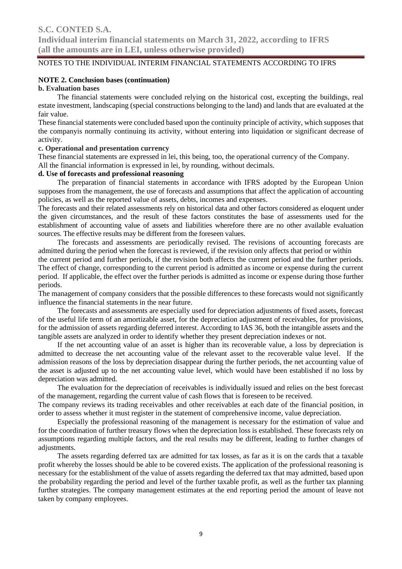### **NOTE 2. Conclusion bases (continuation)**

### **b. Evaluation bases**

The financial statements were concluded relying on the historical cost, excepting the buildings, real estate investment, landscaping (special constructions belonging to the land) and lands that are evaluated at the fair value.

These financial statements were concluded based upon the continuity principle of activity, which supposes that the companyis normally continuing its activity, without entering into liquidation or significant decrease of activity.

### **c. Operational and presentation currency**

These financial statements are expressed in lei, this being, too, the operational currency of the Company. All the financial information is expressed in lei, by rounding, without decimals.

### **d. Use of forecasts and professional reasoning**

The preparation of financial statements in accordance with IFRS adopted by the European Union supposes from the management, the use of forecasts and assumptions that affect the application of accounting policies, as well as the reported value of assets, debts, incomes and expenses.

The forecasts and their related assessments rely on historical data and other factors considered as eloquent under the given circumstances, and the result of these factors constitutes the base of assessments used for the establishment of accounting value of assets and liabilities wherefore there are no other available evaluation sources. The effective results may be different from the foreseen values.

The forecasts and assessments are periodically revised. The revisions of accounting forecasts are admitted during the period when the forecast is reviewed, if the revision only affects that period or within

the current period and further periods, if the revision both affects the current period and the further periods. The effect of change, corresponding to the current period is admitted as income or expense during the current period. If applicable, the effect over the further periods is admitted as income or expense during those further periods.

The management of company considers that the possible differences to these forecasts would not significantly influence the financial statements in the near future.

The forecasts and assessments are especially used for depreciation adjustments of fixed assets, forecast of the useful life term of an amortizable asset, for the depreciation adjustment of receivables, for provisions, for the admission of assets regarding deferred interest. According to IAS 36, both the intangible assets and the tangible assets are analyzed in order to identify whether they present depreciation indexes or not.

If the net accounting value of an asset is higher than its recoverable value, a loss by depreciation is admitted to decrease the net accounting value of the relevant asset to the recoverable value level. If the admission reasons of the loss by depreciation disappear during the further periods, the net accounting value of the asset is adjusted up to the net accounting value level, which would have been established if no loss by depreciation was admitted.

The evaluation for the depreciation of receivables is individually issued and relies on the best forecast of the management, regarding the current value of cash flows that is foreseen to be received.

The company reviews its trading receivables and other receivables at each date of the financial position, in order to assess whether it must register in the statement of comprehensive income, value depreciation.

Especially the professional reasoning of the management is necessary for the estimation of value and for the coordination of further treasury flows when the depreciation loss is established. These forecasts rely on assumptions regarding multiple factors, and the real results may be different, leading to further changes of adjustments.

The assets regarding deferred tax are admitted for tax losses, as far as it is on the cards that a taxable profit whereby the losses should be able to be covered exists. The application of the professional reasoning is necessary for the establishment of the value of assets regarding the deferred tax that may admitted, based upon the probability regarding the period and level of the further taxable profit, as well as the further tax planning further strategies. The company management estimates at the end reporting period the amount of leave not taken by company employees.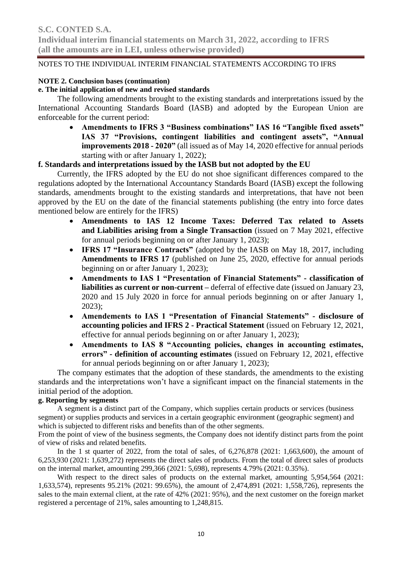### **NOTE 2. Conclusion bases (continuation)**

### **e. The initial application of new and revised standards**

The following amendments brought to the existing standards and interpretations issued by the International Accounting Standards Board (IASB) and adopted by the European Union are enforceable for the current period:

• **Amendments to IFRS 3 "Business combinations" IAS 16 "Tangible fixed assets" IAS 37 "Provisions, contingent liabilities and contingent assets", "Annual improvements 2018 - 2020"** (all issued as of May 14, 2020 effective for annual periods starting with or after January 1, 2022);

### **f. Standards and interpretations issued by the IASB but not adopted by the EU**

Currently, the IFRS adopted by the EU do not shoe significant differences compared to the regulations adopted by the International Accountancy Standards Board (IASB) except the following standards, amendments brought to the existing standards and interpretations, that have not been approved by the EU on the date of the financial statements publishing (the entry into force dates mentioned below are entirely for the IFRS)

- **Amendments to IAS 12 Income Taxes: Deferred Tax related to Assets and Liabilities arising from a Single Transaction** (issued on 7 May 2021, effective for annual periods beginning on or after January 1, 2023);
- **IFRS 17 "Insurance Contracts"** (adopted by the IASB on May 18, 2017, including **Amendments to IFRS 17** (published on June 25, 2020, effective for annual periods beginning on or after January 1, 2023);
- **Amendments to IAS 1 "Presentation of Financial Statements" - classification of liabilities as current or non-current –** deferral of effective date (issued on January 23, 2020 and 15 July 2020 in force for annual periods beginning on or after January 1, 2023);
- **Amendements to IAS 1 "Presentation of Financial Statements" - disclosure of accounting policies and IFRS 2 - Practical Statement** (issued on February 12, 2021, effective for annual periods beginning on or after January 1, 2023);
- **Amendments to IAS 8 "Accounting policies, changes in accounting estimates, errors" - definition of accounting estimates** (issued on February 12, 2021, effective for annual periods beginning on or after January 1, 2023);

The company estimates that the adoption of these standards, the amendments to the existing standards and the interpretations won't have a significant impact on the financial statements in the initial period of the adoption.

### **g. Reporting by segments**

A segment is a distinct part of the Company, which supplies certain products or services (business segment) or supplies products and services in a certain geographic environment (geographic segment) and which is subjected to different risks and benefits than of the other segments.

From the point of view of the business segments, the Company does not identify distinct parts from the point of view of risks and related benefits.

In the 1 st quarter of 2022, from the total of sales, of  $6,276,878$  (2021: 1,663,600), the amount of 6,253,930 (2021: 1,639,272) represents the direct sales of products. From the total of direct sales of products on the internal market, amounting 299,366 (2021: 5,698), represents 4.79% (2021: 0.35%).

With respect to the direct sales of products on the external market, amounting 5,954,564 (2021: 1,633,574), represents 95.21% (2021: 99.65%), the amount of 2,474,891 (2021: 1,558,726), represents the sales to the main external client, at the rate of 42% (2021: 95%), and the next customer on the foreign market registered a percentage of 21%, sales amounting to 1,248,815.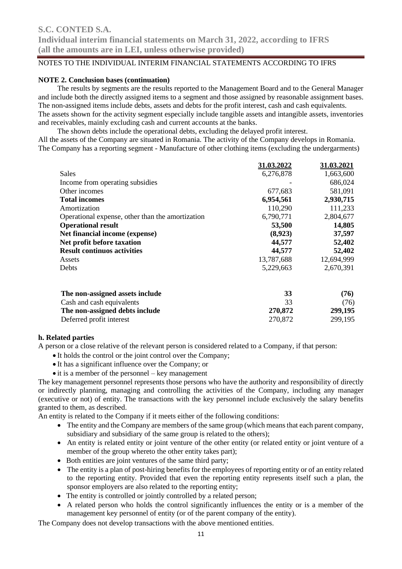### **NOTE 2. Conclusion bases (continuation)**

The results by segments are the results reported to the Management Board and to the General Manager and include both the directly assigned items to a segment and those assigned by reasonable assignment bases. The non-assigned items include debts, assets and debts for the profit interest, cash and cash equivalents. The assets shown for the activity segment especially include tangible assets and intangible assets, inventories and receivables, mainly excluding cash and current accounts at the banks.

The shown debts include the operational debts, excluding the delayed profit interest. All the assets of the Company are situated in Romania. The activity of the Company develops in Romania. The Company has a reporting segment - Manufacture of other clothing items (excluding the undergarments)

|                                                  | 31.03.2022 | 31.03.2021 |
|--------------------------------------------------|------------|------------|
| <b>Sales</b>                                     | 6,276,878  | 1,663,600  |
| Income from operating subsidies                  |            | 686,024    |
| Other incomes                                    | 677,683    | 581,091    |
| <b>Total incomes</b>                             | 6,954,561  | 2,930,715  |
| Amortization                                     | 110,290    | 111,233    |
| Operational expense, other than the amortization | 6,790,771  | 2,804,677  |
| <b>Operational result</b>                        | 53,500     | 14,805     |
| Net financial income (expense)                   | (8,923)    | 37,597     |
| Net profit before taxation                       | 44,577     | 52,402     |
| <b>Result continuos activities</b>               | 44,577     | 52,402     |
| Assets                                           | 13,787,688 | 12,694,999 |
| <b>Debts</b>                                     | 5,229,663  | 2,670,391  |
| The non-assigned assets include                  | 33         | (76)       |

| The non-assigned assets include |         | (76)    |
|---------------------------------|---------|---------|
| Cash and cash equivalents       |         | (76)    |
| The non-assigned debts include  | 270,872 | 299,195 |
| Deferred profit interest        | 270.872 | 299,195 |

### **h. Related parties**

A person or a close relative of the relevant person is considered related to a Company, if that person:

- It holds the control or the joint control over the Company;
- It has a significant influence over the Company; or
- it is a member of the personnel key management

The key management personnel represents those persons who have the authority and responsibility of directly or indirectly planning, managing and controlling the activities of the Company, including any manager (executive or not) of entity. The transactions with the key personnel include exclusively the salary benefits granted to them, as described.

An entity is related to the Company if it meets either of the following conditions:

- The entity and the Company are members of the same group (which means that each parent company, subsidiary and subsidiary of the same group is related to the others);
- An entity is related entity or joint venture of the other entity (or related entity or joint venture of a member of the group whereto the other entity takes part);
- Both entities are joint ventures of the same third party;
- The entity is a plan of post-hiring benefits for the employees of reporting entity or of an entity related to the reporting entity. Provided that even the reporting entity represents itself such a plan, the sponsor employers are also related to the reporting entity;
- The entity is controlled or jointly controlled by a related person;
- A related person who holds the control significantly influences the entity or is a member of the management key personnel of entity (or of the parent company of the entity).

The Company does not develop transactions with the above mentioned entities.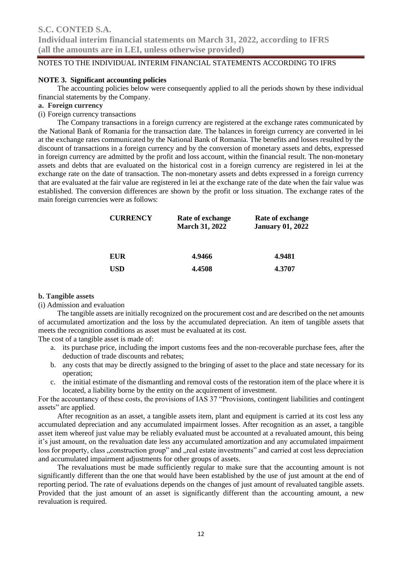### **NOTE 3. Significant accounting policies**

The accounting policies below were consequently applied to all the periods shown by these individual financial statements by the Company.

### **a. Foreign currency**

(i) Foreign currency transactions

The Company transactions in a foreign currency are registered at the exchange rates communicated by the National Bank of Romania for the transaction date. The balances in foreign currency are converted in lei at the exchange rates communicated by the National Bank of Romania. The benefits and losses resulted by the discount of transactions in a foreign currency and by the conversion of monetary assets and debts, expressed in foreign currency are admitted by the profit and loss account, within the financial result. The non-monetary assets and debts that are evaluated on the historical cost in a foreign currency are registered in lei at the exchange rate on the date of transaction. The non-monetary assets and debts expressed in a foreign currency that are evaluated at the fair value are registered in lei at the exchange rate of the date when the fair value was established. The conversion differences are shown by the profit or loss situation. The exchange rates of the main foreign currencies were as follows:

| <b>CURRENCY</b> | Rate of exchange<br><b>March 31, 2022</b> | Rate of exchange<br><b>January 01, 2022</b> |  |  |
|-----------------|-------------------------------------------|---------------------------------------------|--|--|
| <b>EUR</b>      | 4.9466                                    | 4.9481                                      |  |  |
| <b>USD</b>      | 4.4508                                    | 4.3707                                      |  |  |

### **b. Tangible assets**

(i) Admission and evaluation

The tangible assets are initially recognized on the procurement cost and are described on the net amounts of accumulated amortization and the loss by the accumulated depreciation. An item of tangible assets that meets the recognition conditions as asset must be evaluated at its cost.

The cost of a tangible asset is made of:

- a. its purchase price, including the import customs fees and the non-recoverable purchase fees, after the deduction of trade discounts and rebates;
- b. any costs that may be directly assigned to the bringing of asset to the place and state necessary for its operation;
- c. the initial estimate of the dismantling and removal costs of the restoration item of the place where it is located, a liability borne by the entity on the acquirement of investment.

For the accountancy of these costs, the provisions of IAS 37 "Provisions, contingent liabilities and contingent assets" are applied.

After recognition as an asset, a tangible assets item, plant and equipment is carried at its cost less any accumulated depreciation and any accumulated impairment losses. After recognition as an asset, a tangible asset item whereof just value may be reliably evaluated must be accounted at a revaluated amount, this being it's just amount, on the revaluation date less any accumulated amortization and any accumulated impairment loss for property, class "construction group" and "real estate investments" and carried at cost less depreciation and accumulated impairment adjustments for other groups of assets.

The revaluations must be made sufficiently regular to make sure that the accounting amount is not significantly different than the one that would have been established by the use of just amount at the end of reporting period. The rate of evaluations depends on the changes of just amount of revaluated tangible assets. Provided that the just amount of an asset is significantly different than the accounting amount, a new revaluation is required.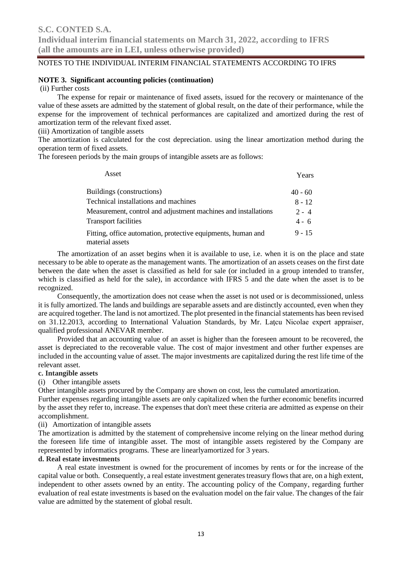### **NOTE 3. Significant accounting policies (continuation)**

(ii) Further costs

The expense for repair or maintenance of fixed assets, issued for the recovery or maintenance of the value of these assets are admitted by the statement of global result, on the date of their performance, while the expense for the improvement of technical performances are capitalized and amortized during the rest of amortization term of the relevant fixed asset.

(iii) Amortization of tangible assets

The amortization is calculated for the cost depreciation. using the linear amortization method during the operation term of fixed assets.

The foreseen periods by the main groups of intangible assets are as follows:

| Asset                                                                           | Years     |
|---------------------------------------------------------------------------------|-----------|
| Buildings (constructions)                                                       | $40 - 60$ |
| Technical installations and machines                                            | $8 - 12$  |
| Measurement, control and adjustment machines and installations                  | $2 - 4$   |
| <b>Transport facilities</b>                                                     | $4 - 6$   |
| Fitting, office automation, protective equipments, human and<br>material assets | $9 - 15$  |

The amortization of an asset begins when it is available to use, i.e. when it is on the place and state necessary to be able to operate as the management wants. The amortization of an assets ceases on the first date between the date when the asset is classified as held for sale (or included in a group intended to transfer, which is classified as held for the sale), in accordance with IFRS 5 and the date when the asset is to be recognized.

Consequently, the amortization does not cease when the asset is not used or is decommissioned, unless it is fully amortized. The lands and buildings are separable assets and are distinctly accounted, even when they are acquired together. The land is not amortized. The plot presented in the financial statements has been revised on 31.12.2013, according to International Valuation Standards, by Mr. Laţcu Nicolae expert appraiser, qualified professional ANEVAR member.

Provided that an accounting value of an asset is higher than the foreseen amount to be recovered, the asset is depreciated to the recoverable value. The cost of major investment and other further expenses are included in the accounting value of asset. The major investments are capitalized during the rest life time of the relevant asset.

### **c. Intangible assets**

(i) Other intangible assets

Other intangible assets procured by the Company are shown on cost, less the cumulated amortization.

Further expenses regarding intangible assets are only capitalized when the further economic benefits incurred by the asset they refer to, increase. The expenses that don't meet these criteria are admitted as expense on their accomplishment.

(ii) Amortization of intangible assets

The amortization is admitted by the statement of comprehensive income relying on the linear method during the foreseen life time of intangible asset. The most of intangible assets registered by the Company are represented by informatics programs. These are linearlyamortized for 3 years.

### **d. Real estate investments**

A real estate investment is owned for the procurement of incomes by rents or for the increase of the capital value or both. Consequently, a real estate investment generates treasury flows that are, on a high extent, independent to other assets owned by an entity. The accounting policy of the Company, regarding further evaluation of real estate investments is based on the evaluation model on the fair value. The changes of the fair value are admitted by the statement of global result.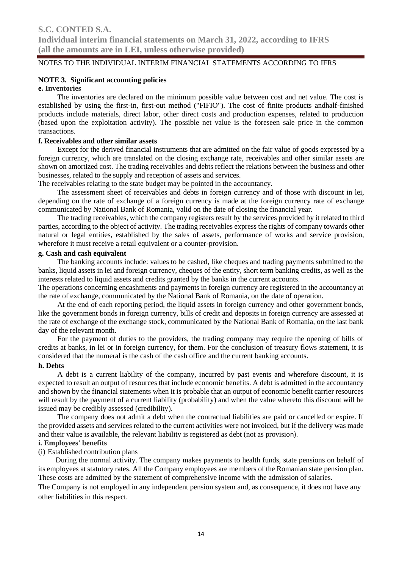### **NOTE 3. Significant accounting policies**

### **e. Inventories**

The inventories are declared on the minimum possible value between cost and net value. The cost is established by using the first-in, first-out method ("FIFIO"). The cost of finite products andhalf-finished products include materials, direct labor, other direct costs and production expenses, related to production (based upon the exploitation activity). The possible net value is the foreseen sale price in the common transactions.

### **f. Receivables and other similar assets**

Except for the derived financial instruments that are admitted on the fair value of goods expressed by a foreign currency, which are translated on the closing exchange rate, receivables and other similar assets are shown on amortized cost. The trading receivables and debts reflect the relations between the business and other businesses, related to the supply and reception of assets and services.

The receivables relating to the state budget may be pointed in the accountancy.

The assessment sheet of receivables and debts in foreign currency and of those with discount in lei, depending on the rate of exchange of a foreign currency is made at the foreign currency rate of exchange communicated by National Bank of Romania, valid on the date of closing the financial year.

The trading receivables, which the company registers result by the services provided by it related to third parties, according to the object of activity. The trading receivables express the rights of company towards other natural or legal entities, established by the sales of assets, performance of works and service provision, wherefore it must receive a retail equivalent or a counter-provision.

### **g. Cash and cash equivalent**

The banking accounts include: values to be cashed, like cheques and trading payments submitted to the banks, liquid assets in lei and foreign currency, cheques of the entity, short term banking credits, as well as the interests related to liquid assets and credits granted by the banks in the current accounts.

The operations concerning encashments and payments in foreign currency are registered in the accountancy at the rate of exchange, communicated by the National Bank of Romania, on the date of operation.

At the end of each reporting period, the liquid assets in foreign currency and other government bonds, like the government bonds in foreign currency, bills of credit and deposits in foreign currency are assessed at the rate of exchange of the exchange stock, communicated by the National Bank of Romania, on the last bank day of the relevant month.

For the payment of duties to the providers, the trading company may require the opening of bills of credits at banks, in lei or in foreign currency, for them. For the conclusion of treasury flows statement, it is considered that the numeral is the cash of the cash office and the current banking accounts.

#### **h. Debts**

A debt is a current liability of the company, incurred by past events and wherefore discount, it is expected to result an output of resources that include economic benefits. A debt is admitted in the accountancy and shown by the financial statements when it is probable that an output of economic benefit carrier resources will result by the payment of a current liability (probability) and when the value whereto this discount will be issued may be credibly assessed (credibility).

The company does not admit a debt when the contractual liabilities are paid or cancelled or expire. If the provided assets and services related to the current activities were not invoiced, but if the delivery was made and their value is available, the relevant liability is registered as debt (not as provision).

### **i. Employees' benefits**

### (i) Established contribution plans

During the normal activity. The company makes payments to health funds, state pensions on behalf of its employees at statutory rates. All the Company employees are members of the Romanian state pension plan. These costs are admitted by the statement of comprehensive income with the admission of salaries.

The Company is not employed in any independent pension system and, as consequence, it does not have any other liabilities in this respect.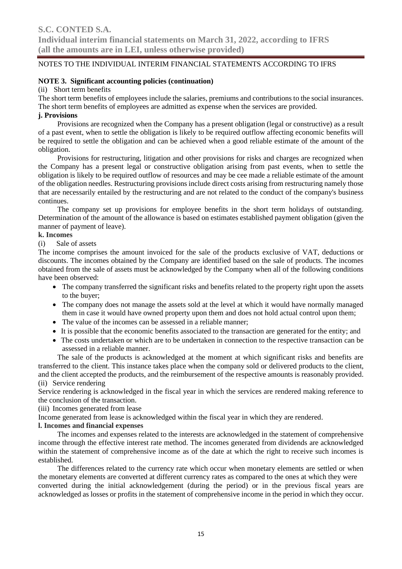### **NOTE 3. Significant accounting policies (continuation)**

### (ii) Short term benefits

The short term benefits of employees include the salaries, premiums and contributions to the social insurances. The short term benefits of employees are admitted as expense when the services are provided.

### **j. Provisions**

Provisions are recognized when the Company has a present obligation (legal or constructive) as a result of a past event, when to settle the obligation is likely to be required outflow affecting economic benefits will be required to settle the obligation and can be achieved when a good reliable estimate of the amount of the obligation.

Provisions for restructuring, litigation and other provisions for risks and charges are recognized when the Company has a present legal or constructive obligation arising from past events, when to settle the obligation is likely to be required outflow of resources and may be cee made a reliable estimate of the amount of the obligation needles. Restructuring provisions include direct costs arising from restructuring namely those that are necessarily entailed by the restructuring and are not related to the conduct of the company's business continues.

The company set up provisions for employee benefits in the short term holidays of outstanding. Determination of the amount of the allowance is based on estimates established payment obligation (given the manner of payment of leave).

### **k. Incomes**

(i) Sale of assets

The income comprises the amount invoiced for the sale of the products exclusive of VAT, deductions or discounts. The incomes obtained by the Company are identified based on the sale of products. The incomes obtained from the sale of assets must be acknowledged by the Company when all of the following conditions have been observed:

- The company transferred the significant risks and benefits related to the property right upon the assets to the buyer;
- The company does not manage the assets sold at the level at which it would have normally managed them in case it would have owned property upon them and does not hold actual control upon them;
- The value of the incomes can be assessed in a reliable manner;
- It is possible that the economic benefits associated to the transaction are generated for the entity; and
- The costs undertaken or which are to be undertaken in connection to the respective transaction can be assessed in a reliable manner.

The sale of the products is acknowledged at the moment at which significant risks and benefits are transferred to the client. This instance takes place when the company sold or delivered products to the client, and the client accepted the products, and the reimbursement of the respective amounts is reasonably provided. (ii) Service rendering

Service rendering is acknowledged in the fiscal year in which the services are rendered making reference to the conclusion of the transaction.

(iii) Incomes generated from lease

Income generated from lease is acknowledged within the fiscal year in which they are rendered.

### **l. Incomes and financial expenses**

The incomes and expenses related to the interests are acknowledged in the statement of comprehensive income through the effective interest rate method. The incomes generated from dividends are acknowledged within the statement of comprehensive income as of the date at which the right to receive such incomes is established.

The differences related to the currency rate which occur when monetary elements are settled or when the monetary elements are converted at different currency rates as compared to the ones at which they were converted during the initial acknowledgement (during the period) or in the previous fiscal years are acknowledged as losses or profits in the statement of comprehensive income in the period in which they occur.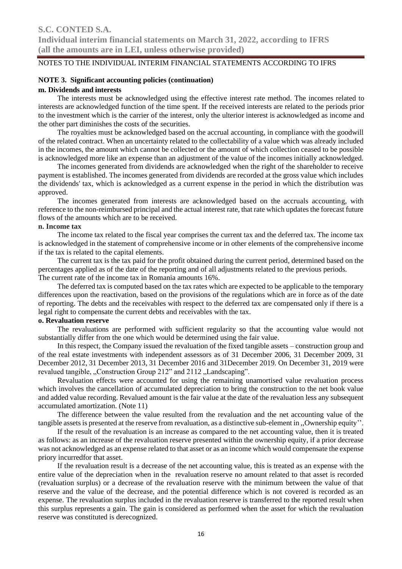### **NOTE 3. Significant accounting policies (continuation)**

#### **m. Dividends and interests**

The interests must be acknowledged using the effective interest rate method. The incomes related to interests are acknowledged function of the time spent. If the received interests are related to the periods prior to the investment which is the carrier of the interest, only the ulterior interest is acknowledged as income and the other part diminishes the costs of the securities.

The royalties must be acknowledged based on the accrual accounting, in compliance with the goodwill of the related contract. When an uncertainty related to the collectability of a value which was already included in the incomes, the amount which cannot be collected or the amount of which collection ceased to be possible is acknowledged more like an expense than an adjustment of the value of the incomes initially acknowledged.

The incomes generated from dividends are acknowledged when the right of the shareholder to receive payment is established. The incomes generated from dividends are recorded at the gross value which includes the dividends' tax, which is acknowledged as a current expense in the period in which the distribution was approved.

The incomes generated from interests are acknowledged based on the accruals accounting, with reference to the non-reimbursed principal and the actual interest rate, that rate which updates the forecast future flows of the amounts which are to be received.

### **n. Income tax**

The income tax related to the fiscal year comprises the current tax and the deferred tax. The income tax is acknowledged in the statement of comprehensive income or in other elements of the comprehensive income if the tax is related to the capital elements.

The current tax is the tax paid for the profit obtained during the current period, determined based on the percentages applied as of the date of the reporting and of all adjustments related to the previous periods. The current rate of the income tax in Romania amounts 16%.

The deferred tax is computed based on the tax rates which are expected to be applicable to the temporary differences upon the reactivation, based on the provisions of the regulations which are in force as of the date of reporting. The debts and the receivables with respect to the deferred tax are compensated only if there is a legal right to compensate the current debts and receivables with the tax.

#### **o. Revaluation reserve**

The revaluations are performed with sufficient regularity so that the accounting value would not substantially differ from the one which would be determined using the fair value.

In this respect, the Company issued the revaluation of the fixed tangible assets – construction group and of the real estate investments with independent assessors as of 31 December 2006, 31 December 2009, 31 December 2012, 31 December 2013, 31 December 2016 and 31December 2019. On December 31, 2019 were revalued tangible, "Construction Group 212" and 2112 "Landscaping".

Revaluation effects were accounted for using the remaining unamortised value revaluation process which involves the cancellation of accumulated depreciation to bring the construction to the net book value and added value recording. Revalued amount is the fair value at the date of the revaluation less any subsequent accumulated amortization. (Note 11)

The difference between the value resulted from the revaluation and the net accounting value of the tangible assets is presented at the reserve from revaluation, as a distinctive sub-element in ,,Ownership equity''.

If the result of the revaluation is an increase as compared to the net accounting value, then it is treated as follows: as an increase of the revaluation reserve presented within the ownership equity, if a prior decrease was not acknowledged as an expense related to that asset or as an income which would compensate the expense priory incurredfor that asset.

If the revaluation result is a decrease of the net accounting value, this is treated as an expense with the entire value of the depreciation when in the revaluation reserve no amount related to that asset is recorded (revaluation surplus) or a decrease of the revaluation reserve with the minimum between the value of that reserve and the value of the decrease, and the potential difference which is not covered is recorded as an expense. The revaluation surplus included in the revaluation reserve is transferred to the reported result when this surplus represents a gain. The gain is considered as performed when the asset for which the revaluation reserve was constituted is derecognized.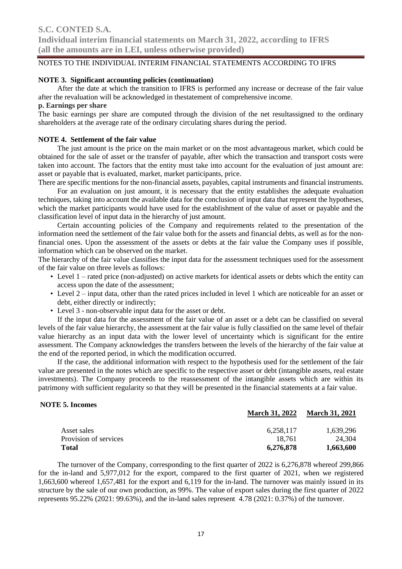### **NOTE 3. Significant accounting policies (continuation)**

After the date at which the transition to IFRS is performed any increase or decrease of the fair value after the revaluation will be acknowledged in thestatement of comprehensive income.

### **p. Earnings per share**

The basic earnings per share are computed through the division of the net resultassigned to the ordinary shareholders at the average rate of the ordinary circulating shares during the period.

#### **NOTE 4. Settlement of the fair value**

The just amount is the price on the main market or on the most advantageous market, which could be obtained for the sale of asset or the transfer of payable, after which the transaction and transport costs were taken into account. The factors that the entity must take into account for the evaluation of just amount are: asset or payable that is evaluated, market, market participants, price.

There are specific mentions for the non-financial assets, payables, capital instruments and financial instruments.

For an evaluation on just amount, it is necessary that the entity establishes the adequate evaluation techniques, taking into account the available data for the conclusion of input data that represent the hypotheses, which the market participants would have used for the establishment of the value of asset or payable and the classification level of input data in the hierarchy of just amount.

Certain accounting policies of the Company and requirements related to the presentation of the information need the settlement of the fair value both for the assets and financial debts, as well as for the nonfinancial ones. Upon the assessment of the assets or debts at the fair value the Company uses if possible, information which can be observed on the market.

The hierarchy of the fair value classifies the input data for the assessment techniques used for the assessment of the fair value on three levels as follows:

- Level 1 rated price (non-adjusted) on active markets for identical assets or debts which the entity can access upon the date of the assessment;
- Level 2 input data, other than the rated prices included in level 1 which are noticeable for an asset or debt, either directly or indirectly;
- Level 3 non-observable input data for the asset or debt.

If the input data for the assessment of the fair value of an asset or a debt can be classified on several levels of the fair value hierarchy, the assessment at the fair value is fully classified on the same level of thefair value hierarchy as an input data with the lower level of uncertainty which is significant for the entire assessment. The Company acknowledges the transfers between the levels of the hierarchy of the fair value at the end of the reported period, in which the modification occurred.

If the case, the additional information with respect to the hypothesis used for the settlement of the fair value are presented in the notes which are specific to the respective asset or debt (intangible assets, real estate investments). The Company proceeds to the reassessment of the intangible assets which are within its patrimony with sufficient regularity so that they will be presented in the financial statements at a fair value.

### **NOTE 5. Incomes**

|                       | waa cu yn 2022 | waarth yn 2021 |
|-----------------------|----------------|----------------|
| Asset sales           | 6.258.117      | 1.639.296      |
| Provision of services | 18.761         | 24,304         |
| <b>Total</b>          | 6,276,878      | 1,663,600      |

**March 31, 2022 March 31, 2021**

The turnover of the Company, corresponding to the first quarter of 2022 is 6,276,878 whereof 299,866 for the in-land and 5,977,012 for the export, compared to the first quarter of 2021, when we registered 1,663,600 whereof 1,657,481 for the export and 6,119 for the in-land. The turnover was mainly issued in its structure by the sale of our own production, as 99%. The value of export sales during the first quarter of 2022 represents 95.22% (2021: 99.63%), and the in-land sales represent 4.78 (2021: 0.37%) of the turnover.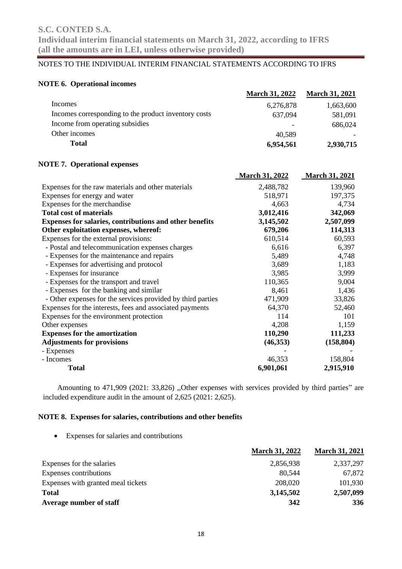### **NOTE 6. Operational incomes**

|                                                             | <b>March 31, 2022</b> | <b>March 31, 2021</b> |
|-------------------------------------------------------------|-----------------------|-----------------------|
| Incomes                                                     | 6,276,878             | 1,663,600             |
| Incomes corresponding to the product inventory costs        | 637,094               | 581,091               |
| Income from operating subsidies                             |                       | 686,024               |
| Other incomes                                               | 40,589                |                       |
| <b>Total</b>                                                | 6,954,561             | 2,930,715             |
| <b>NOTE 7. Operational expenses</b>                         |                       |                       |
|                                                             | <b>March 31, 2022</b> | <b>March 31, 2021</b> |
| Expenses for the raw materials and other materials          | 2,488,782             | 139,960               |
| Expenses for energy and water                               | 518,971               | 197,375               |
| Expenses for the merchandise                                | 4,663                 | 4,734                 |
| <b>Total cost of materials</b>                              | 3,012,416             | 342,069               |
| Expenses for salaries, contributions and other benefits     | 3,145,502             | 2,507,099             |
| Other exploitation expenses, whereof:                       | 679,206               | 114,313               |
| Expenses for the external provisions:                       | 610,514               | 60,593                |
| - Postal and telecommunication expenses charges             | 6,616                 | 6,397                 |
| - Expenses for the maintenance and repairs                  | 5,489                 | 4,748                 |
| - Expenses for advertising and protocol                     | 3,689                 | 1,183                 |
| - Expenses for insurance                                    | 3,985                 | 3,999                 |
| - Expenses for the transport and travel                     | 110,365               | 9,004                 |
| - Expenses for the banking and similar                      | 8,461                 | 1,436                 |
| - Other expenses for the services provided by third parties | 471,909               | 33,826                |
| Expenses for the interests, fees and associated payments    | 64,370                | 52,460                |
| Expenses for the environment protection                     | 114                   | 101                   |
| Other expenses                                              | 4,208                 | 1,159                 |
| <b>Expenses for the amortization</b>                        | 110,290               | 111,233               |
| <b>Adjustments for provisions</b>                           | (46, 353)             | (158, 804)            |
| - Expenses                                                  |                       |                       |
| - Incomes                                                   | 46,353                | 158,804               |
| <b>Total</b>                                                | 6,901,061             | 2,915,910             |

Amounting to 471,909 (2021: 33,826) ,,Other expenses with services provided by third parties" are included expenditure audit in the amount of 2,625 (2021: 2,625).

### **NOTE 8. Expenses for salaries, contributions and other benefits**

• Expenses for salaries and contributions

|                                    | <b>March 31, 2022</b> | <b>March 31, 2021</b> |
|------------------------------------|-----------------------|-----------------------|
| Expenses for the salaries          | 2,856,938             | 2,337,297             |
| Expenses contributions             | 80.544                | 67,872                |
| Expenses with granted meal tickets | 208,020               | 101,930               |
| <b>Total</b>                       | 3,145,502             | 2,507,099             |
| Average number of staff            | 342                   | 336                   |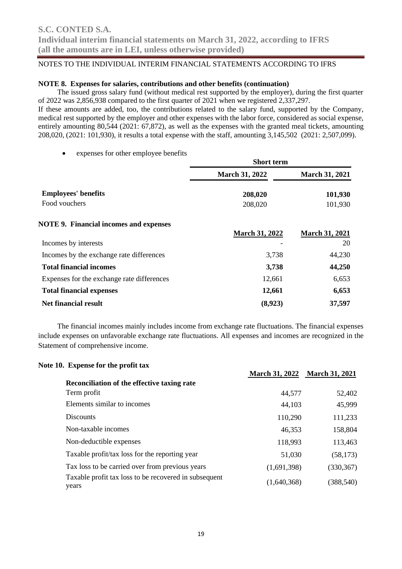### **NOTE 8. Expenses for salaries, contributions and other benefits (continuation)**

The issued gross salary fund (without medical rest supported by the employer), during the first quarter of 2022 was 2,856,938 compared to the first quarter of 2021 when we registered 2,337,297.

If these amounts are added, too, the contributions related to the salary fund, supported by the Company, medical rest supported by the employer and other expenses with the labor force, considered as social expense, entirely amounting 80,544 (2021: 67,872), as well as the expenses with the granted meal tickets, amounting 208,020, (2021: 101,930), it results a total expense with the staff, amounting 3,145,502 (2021: 2,507,099).

expenses for other employee benefits

|                                               | <b>Short term</b>     |                       |  |  |
|-----------------------------------------------|-----------------------|-----------------------|--|--|
|                                               | <b>March 31, 2022</b> | <b>March 31, 2021</b> |  |  |
| <b>Employees' benefits</b>                    | 208,020               | 101,930               |  |  |
| Food vouchers                                 | 208,020               | 101,930               |  |  |
| <b>NOTE 9. Financial incomes and expenses</b> |                       |                       |  |  |
|                                               | <b>March 31, 2022</b> | <b>March 31, 2021</b> |  |  |
| Incomes by interests                          |                       | 20                    |  |  |
| Incomes by the exchange rate differences      | 3,738                 | 44,230                |  |  |
| <b>Total financial incomes</b>                | 3,738                 | 44,250                |  |  |
| Expenses for the exchange rate differences    | 12,661                | 6,653                 |  |  |
| <b>Total financial expenses</b>               | 12,661                | 6,653                 |  |  |
| <b>Net financial result</b>                   | (8,923)               | 37,597                |  |  |

The financial incomes mainly includes income from exchange rate fluctuations. The financial expenses include expenses on unfavorable exchange rate fluctuations. All expenses and incomes are recognized in the Statement of comprehensive income.

| Note 10. Expense for the profit tax                            |                       |                       |
|----------------------------------------------------------------|-----------------------|-----------------------|
|                                                                | <b>March 31, 2022</b> | <b>March 31, 2021</b> |
| Reconciliation of the effective taxing rate                    |                       |                       |
| Term profit                                                    | 44,577                | 52,402                |
| Elements similar to incomes                                    | 44,103                | 45,999                |
| <b>Discounts</b>                                               | 110,290               | 111,233               |
| Non-taxable incomes                                            | 46,353                | 158,804               |
| Non-deductible expenses                                        | 118,993               | 113,463               |
| Taxable profit/tax loss for the reporting year                 | 51,030                | (58, 173)             |
| Tax loss to be carried over from previous years                | (1,691,398)           | (330, 367)            |
| Taxable profit tax loss to be recovered in subsequent<br>years | (1,640,368)           | (388, 540)            |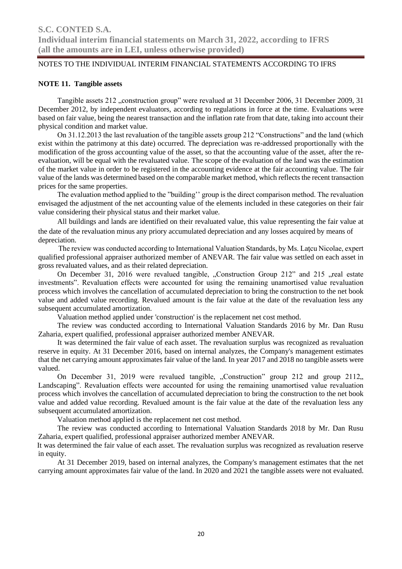### **NOTE 11. Tangible assets**

Tangible assets 212 "construction group" were revalued at 31 December 2006, 31 December 2009, 31 December 2012, by independent evaluators, according to regulations in force at the time. Evaluations were based on fair value, being the nearest transaction and the inflation rate from that date, taking into account their physical condition and market value.

On 31.12.2013 the last revaluation of the tangible assets group 212 "Constructions" and the land (which exist within the patrimony at this date) occurred. The depreciation was re-addressed proportionally with the modification of the gross accounting value of the asset, so that the accounting value of the asset, after the reevaluation, will be equal with the revaluated value. The scope of the evaluation of the land was the estimation of the market value in order to be registered in the accounting evidence at the fair accounting value. The fair value of the lands was determined based on the comparable market method, which reflects the recent transaction prices for the same properties.

The evaluation method applied to the "building'' group is the direct comparison method. The revaluation envisaged the adjustment of the net accounting value of the elements included in these categories on their fair value considering their physical status and their market value.

All buildings and lands are identified on their revaluated value, this value representing the fair value at the date of the revaluation minus any priory accumulated depreciation and any losses acquired by means of depreciation.

The review was conducted according to International Valuation Standards, by Ms. Latcu Nicolae, expert qualified professional appraiser authorized member of ANEVAR. The fair value was settled on each asset in gross revaluated values, and as their related depreciation.

On December 31, 2016 were revalued tangible, "Construction Group 212" and 215 "real estate investments". Revaluation effects were accounted for using the remaining unamortised value revaluation process which involves the cancellation of accumulated depreciation to bring the construction to the net book value and added value recording. Revalued amount is the fair value at the date of the revaluation less any subsequent accumulated amortization.

Valuation method applied under 'construction' is the replacement net cost method.

The review was conducted according to International Valuation Standards 2016 by Mr. Dan Rusu Zaharia, expert qualified, professional appraiser authorized member ANEVAR.

It was determined the fair value of each asset. The revaluation surplus was recognized as revaluation reserve in equity. At 31 December 2016, based on internal analyzes, the Company's management estimates that the net carrying amount approximates fair value of the land. In year 2017 and 2018 no tangible assets were valued.

On December 31, 2019 were revalued tangible, "Construction" group 212 and group 2112, Landscaping". Revaluation effects were accounted for using the remaining unamortised value revaluation process which involves the cancellation of accumulated depreciation to bring the construction to the net book value and added value recording. Revalued amount is the fair value at the date of the revaluation less any subsequent accumulated amortization.

Valuation method applied is the replacement net cost method.

The review was conducted according to International Valuation Standards 2018 by Mr. Dan Rusu Zaharia, expert qualified, professional appraiser authorized member ANEVAR.

 It was determined the fair value of each asset. The revaluation surplus was recognized as revaluation reserve in equity.

 At 31 December 2019, based on internal analyzes, the Company's management estimates that the net carrying amount approximates fair value of the land. In 2020 and 2021 the tangible assets were not evaluated.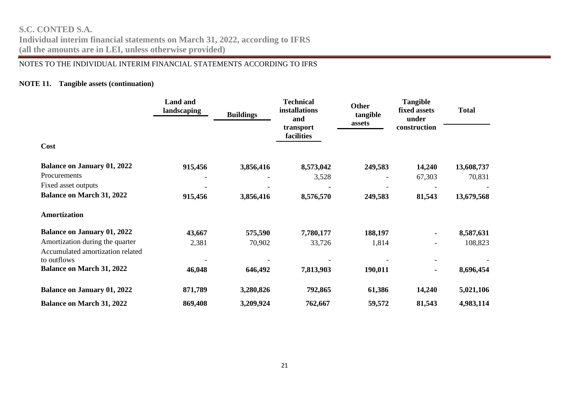**Individual interim financial statements on March 31, 2022, according to IFRS (all the amounts are in LEI, unless otherwise provided)**

### NOTES TO THE INDIVIDUAL INTERIM FINANCIAL STATEMENTS ACCORDING TO IFRS

### **NOTE 11. Tangible assets (continuation)**

|                                    | <b>Land and</b><br>landscaping | <b>Buildings</b> | <b>Technical</b><br>installations<br>and<br>transport | <b>Other</b><br>tangible<br>assets | <b>Tangible</b><br>fixed assets<br>under<br>construction | <b>Total</b> |
|------------------------------------|--------------------------------|------------------|-------------------------------------------------------|------------------------------------|----------------------------------------------------------|--------------|
|                                    |                                |                  | facilities                                            |                                    |                                                          |              |
| Cost                               |                                |                  |                                                       |                                    |                                                          |              |
| <b>Balance on January 01, 2022</b> | 915,456                        | 3,856,416        | 8,573,042                                             | 249,583                            | 14,240                                                   | 13,608,737   |
| Procurements                       |                                |                  | 3,528                                                 |                                    | 67,303                                                   | 70,831       |
| Fixed asset outputs                |                                |                  |                                                       |                                    |                                                          |              |
| <b>Balance on March 31, 2022</b>   | 915,456                        | 3,856,416        | 8,576,570                                             | 249,583                            | 81,543                                                   | 13,679,568   |
| <b>Amortization</b>                |                                |                  |                                                       |                                    |                                                          |              |
| <b>Balance on January 01, 2022</b> | 43,667                         | 575,590          | 7,780,177                                             | 188,197                            | $\blacksquare$                                           | 8,587,631    |
| Amortization during the quarter    | 2,381                          | 70,902           | 33,726                                                | 1,814                              | $\overline{\phantom{a}}$                                 | 108,823      |
| Accumulated amortization related   |                                |                  |                                                       |                                    |                                                          |              |
| to outflows                        |                                |                  |                                                       |                                    |                                                          |              |
| <b>Balance on March 31, 2022</b>   | 46,048                         | 646,492          | 7,813,903                                             | 190,011                            | $\blacksquare$                                           | 8,696,454    |
| <b>Balance on January 01, 2022</b> | 871,789                        | 3,280,826        | 792,865                                               | 61,386                             | 14,240                                                   | 5,021,106    |
| <b>Balance on March 31, 2022</b>   | 869,408                        | 3,209,924        | 762,667                                               | 59,572                             | 81,543                                                   | 4,983,114    |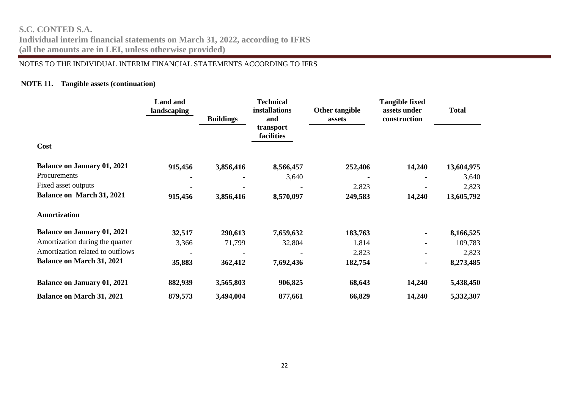**Individual interim financial statements on March 31, 2022, according to IFRS (all the amounts are in LEI, unless otherwise provided)**

### NOTES TO THE INDIVIDUAL INTERIM FINANCIAL STATEMENTS ACCORDING TO IFRS

### **NOTE 11. Tangible assets (continuation)**

|                                    | <b>Land and</b><br>landscaping | <b>Buildings</b> | <b>Technical</b><br>installations<br>and | Other tangible<br>assets | <b>Tangible fixed</b><br>assets under<br>construction | <b>Total</b> |
|------------------------------------|--------------------------------|------------------|------------------------------------------|--------------------------|-------------------------------------------------------|--------------|
|                                    |                                |                  | transport<br>facilities                  |                          |                                                       |              |
| Cost                               |                                |                  |                                          |                          |                                                       |              |
| <b>Balance on January 01, 2021</b> | 915,456                        | 3,856,416        | 8,566,457                                | 252,406                  | 14,240                                                | 13,604,975   |
| Procurements                       |                                |                  | 3,640                                    |                          |                                                       | 3,640        |
| Fixed asset outputs                |                                |                  |                                          | 2,823                    |                                                       | 2,823        |
| <b>Balance on March 31, 2021</b>   | 915,456                        | 3,856,416        | 8,570,097                                | 249,583                  | 14,240                                                | 13,605,792   |
| Amortization                       |                                |                  |                                          |                          |                                                       |              |
| <b>Balance on January 01, 2021</b> | 32,517                         | 290,613          | 7,659,632                                | 183,763                  |                                                       | 8,166,525    |
| Amortization during the quarter    | 3,366                          | 71,799           | 32,804                                   | 1,814                    |                                                       | 109,783      |
| Amortization related to outflows   |                                |                  |                                          | 2,823                    |                                                       | 2,823        |
| <b>Balance on March 31, 2021</b>   | 35,883                         | 362,412          | 7,692,436                                | 182,754                  |                                                       | 8,273,485    |
| <b>Balance on January 01, 2021</b> | 882,939                        | 3,565,803        | 906,825                                  | 68,643                   | 14,240                                                | 5,438,450    |
| <b>Balance on March 31, 2021</b>   | 879,573                        | 3,494,004        | 877,661                                  | 66,829                   | 14,240                                                | 5,332,307    |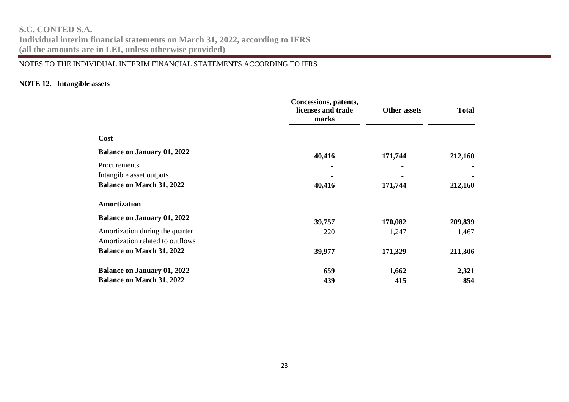**Individual interim financial statements on March 31, 2022, according to IFRS (all the amounts are in LEI, unless otherwise provided)**

### NOTES TO THE INDIVIDUAL INTERIM FINANCIAL STATEMENTS ACCORDING TO IFRS

### **NOTE 12. Intangible assets**

|                                    | Concessions, patents,<br>licenses and trade<br>marks | <b>Other assets</b> | <b>Total</b> |
|------------------------------------|------------------------------------------------------|---------------------|--------------|
| Cost                               |                                                      |                     |              |
| <b>Balance on January 01, 2022</b> | 40,416                                               | 171,744             | 212,160      |
| Procurements                       |                                                      |                     |              |
| Intangible asset outputs           |                                                      |                     |              |
| <b>Balance on March 31, 2022</b>   | 40,416                                               | 171,744             | 212,160      |
| <b>Amortization</b>                |                                                      |                     |              |
| <b>Balance on January 01, 2022</b> | 39,757                                               | 170,082             | 209,839      |
| Amortization during the quarter    | 220                                                  | 1,247               | 1,467        |
| Amortization related to outflows   |                                                      |                     |              |
| <b>Balance on March 31, 2022</b>   | 39,977                                               | 171,329             | 211,306      |
| <b>Balance on January 01, 2022</b> | 659                                                  | 1,662               | 2,321        |
| <b>Balance on March 31, 2022</b>   | 439                                                  | 415                 | 854          |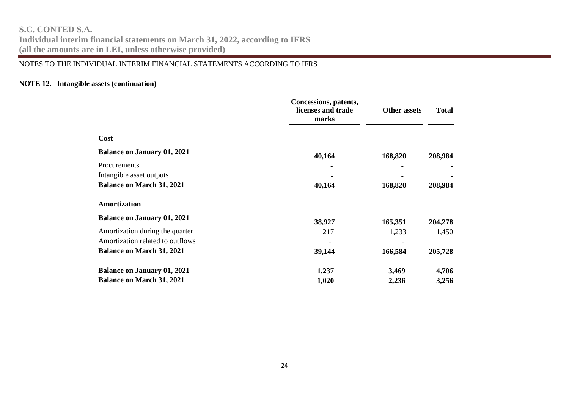**Individual interim financial statements on March 31, 2022, according to IFRS (all the amounts are in LEI, unless otherwise provided)**

### NOTES TO THE INDIVIDUAL INTERIM FINANCIAL STATEMENTS ACCORDING TO IFRS

### **NOTE 12. Intangible assets (continuation)**

|                                    | Concessions, patents,<br>licenses and trade<br>marks | <b>Other assets</b> | <b>Total</b> |
|------------------------------------|------------------------------------------------------|---------------------|--------------|
| Cost                               |                                                      |                     |              |
| <b>Balance on January 01, 2021</b> | 40,164                                               | 168,820             | 208,984      |
| Procurements                       |                                                      |                     |              |
| Intangible asset outputs           |                                                      |                     |              |
| <b>Balance on March 31, 2021</b>   | 40,164                                               | 168,820             | 208,984      |
| Amortization                       |                                                      |                     |              |
| <b>Balance on January 01, 2021</b> | 38,927                                               | 165,351             | 204,278      |
| Amortization during the quarter    | 217                                                  | 1,233               | 1,450        |
| Amortization related to outflows   |                                                      |                     |              |
| <b>Balance on March 31, 2021</b>   | 39,144                                               | 166,584             | 205,728      |
| <b>Balance on January 01, 2021</b> | 1,237                                                | 3,469               | 4,706        |
| <b>Balance on March 31, 2021</b>   | 1,020                                                | 2,236               | 3,256        |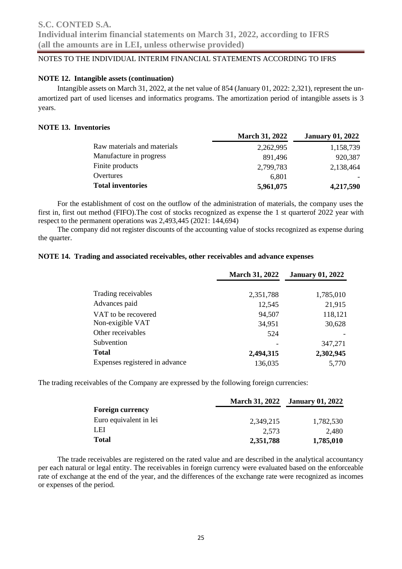### **NOTE 12. Intangible assets (continuation)**

Intangible assets on March 31, 2022, at the net value of 854 (January 01, 2022: 2,321), represent the unamortized part of used licenses and informatics programs. The amortization period of intangible assets is 3 years.

### **NOTE 13. Inventories**

|                             | <b>March 31, 2022</b> | <b>January 01, 2022</b> |
|-----------------------------|-----------------------|-------------------------|
| Raw materials and materials | 2,262,995             | 1,158,739               |
| Manufacture in progress     | 891,496               | 920,387                 |
| Finite products             | 2,799,783             | 2,138,464               |
| Overtures                   | 6.801                 |                         |
| <b>Total inventories</b>    | 5,961,075             | 4,217,590               |

For the establishment of cost on the outflow of the administration of materials, the company uses the first in, first out method (FIFO).The cost of stocks recognized as expense the 1 st quarterof 2022 year with respect to the permanent operations was 2,493,445 (2021: 144,694)

The company did not register discounts of the accounting value of stocks recognized as expense during the quarter.

### **NOTE 14. Trading and associated receivables, other receivables and advance expenses**

|                                | <b>March 31, 2022</b> | <b>January 01, 2022</b> |
|--------------------------------|-----------------------|-------------------------|
| Trading receivables            | 2,351,788             | 1,785,010               |
| Advances paid                  | 12,545                | 21,915                  |
| VAT to be recovered            | 94,507                | 118,121                 |
| Non-exigible VAT               | 34,951                | 30,628                  |
| Other receivables              | 524                   |                         |
| Subvention                     |                       | 347,271                 |
| <b>Total</b>                   | 2,494,315             | 2,302,945               |
| Expenses registered in advance | 136,035               | 5,770                   |

The trading receivables of the Company are expressed by the following foreign currencies:

|                         | <b>March 31, 2022</b> | <b>January 01, 2022</b> |
|-------------------------|-----------------------|-------------------------|
| <b>Foreign currency</b> |                       |                         |
| Euro equivalent in lei  | 2.349.215             | 1,782,530               |
| LEI                     | 2.573                 | 2.480                   |
| <b>Total</b>            | 2,351,788             | 1,785,010               |

The trade receivables are registered on the rated value and are described in the analytical accountancy per each natural or legal entity. The receivables in foreign currency were evaluated based on the enforceable rate of exchange at the end of the year, and the differences of the exchange rate were recognized as incomes or expenses of the period.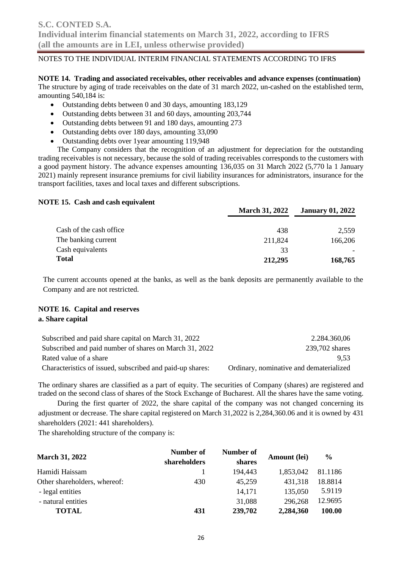**NOTE 14. Trading and associated receivables, other receivables and advance expenses (continuation)** The structure by aging of trade receivables on the date of 31 march 2022, un-cashed on the established term, amounting 540,184 is:

- Outstanding debts between 0 and 30 days, amounting 183,129
- Outstanding debts between 31 and 60 days, amounting 203,744
- Outstanding debts between 91 and 180 days, amounting 273
- Outstanding debts over 180 days, amounting 33,090
- Outstanding debts over 1year amounting 119,948

The Company considers that the recognition of an adjustment for depreciation for the outstanding trading receivables is not necessary, because the sold of trading receivables corresponds to the customers with a good payment history. The advance expenses amounting 136,035 on 31 March 2022 (5,770 la 1 January 2021) mainly represent insurance premiums for civil liability insurances for administrators, insurance for the transport facilities, taxes and local taxes and different subscriptions.

### **NOTE 15. Cash and cash equivalent**

|                         | <b>March 31, 2022</b> | <b>January 01, 2022</b> |
|-------------------------|-----------------------|-------------------------|
| Cash of the cash office | 438                   | 2,559                   |
| The banking current     | 211,824               | 166,206                 |
| Cash equivalents        | 33                    |                         |
| <b>Total</b>            | 212,295               | 168,765                 |

The current accounts opened at the banks, as well as the bank deposits are permanently available to the Company and are not restricted.

### **NOTE 16. Capital and reserves a. Share capital**

| Subscribed and paid share capital on March 31, 2022       | 2.284.360,06                            |
|-----------------------------------------------------------|-----------------------------------------|
| Subscribed and paid number of shares on March 31, 2022    | 239,702 shares                          |
| Rated value of a share                                    | 9.53                                    |
| Characteristics of issued, subscribed and paid-up shares: | Ordinary, nominative and dematerialized |

The ordinary shares are classified as a part of equity. The securities of Company (shares) are registered and traded on the second class of shares of the Stock Exchange of Bucharest. All the shares have the same voting.

During the first quarter of 2022, the share capital of the company was not changed concerning its adjustment or decrease. The share capital registered on March 31,2022 is 2,284,360.06 and it is owned by 431 shareholders (2021: 441 shareholders).

The shareholding structure of the company is:

|                              | Number of    | Number of |              | $\frac{6}{9}$ |
|------------------------------|--------------|-----------|--------------|---------------|
| <b>March 31, 2022</b>        | shareholders | shares    | Amount (lei) |               |
| Hamidi Haissam               |              | 194,443   | 1,853,042    | 81.1186       |
| Other shareholders, whereof: | 430          | 45,259    | 431,318      | 18.8814       |
| - legal entities             |              | 14,171    | 135,050      | 5.9119        |
| - natural entities           |              | 31,088    | 296,268      | 12.9695       |
| TOTAL                        | 431          | 239,702   | 2,284,360    | 100.00        |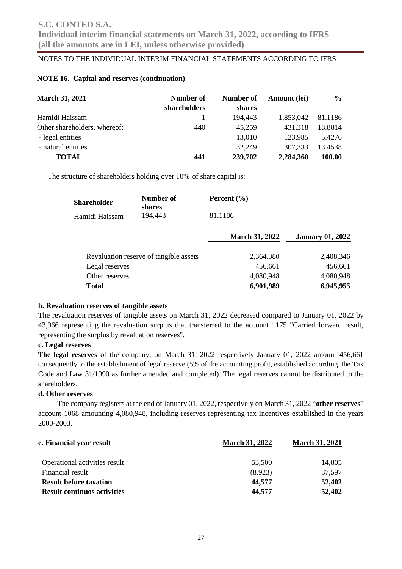### **NOTE 16. Capital and reserves (continuation)**

| <b>March 31, 2021</b>        | Number of    | Number of | Amount (lei) | $\frac{6}{9}$ |
|------------------------------|--------------|-----------|--------------|---------------|
|                              | shareholders | shares    |              |               |
| Hamidi Haissam               |              | 194,443   | 1,853,042    | 81.1186       |
| Other shareholders, whereof: | 440          | 45,259    | 431,318      | 18.8814       |
| - legal entities             |              | 13,010    | 123,985      | 5.4276        |
| - natural entities           |              | 32,249    | 307,333      | 13.4538       |
| <b>TOTAL</b>                 | 441          | 239,702   | 2,284,360    | 100.00        |

The structure of shareholders holding over 10% of share capital is:

| <b>Shareholder</b> | Number of<br>shares | Percent $(\% )$ |
|--------------------|---------------------|-----------------|
| Hamidi Haissam     | 194.443             | 81.1186         |

|                                        | <b>March 31, 2022</b> | <b>January 01, 2022</b> |  |
|----------------------------------------|-----------------------|-------------------------|--|
|                                        |                       |                         |  |
| Revaluation reserve of tangible assets | 2,364,380             | 2,408,346               |  |
| Legal reserves                         | 456,661               | 456,661                 |  |
| Other reserves                         | 4,080,948             | 4,080,948               |  |
| <b>Total</b>                           | 6,901,989             | 6,945,955               |  |

### **b. Revaluation reserves of tangible assets**

The revaluation reserves of tangible assets on March 31, 2022 decreased compared to January 01, 2022 by 43,966 representing the revaluation surplus that transferred to the account 1175 "Carried forward result, representing the surplus by revaluation reserves".

### **c. Legal reserves**

**The legal reserves** of the company, on March 31, 2022 respectively January 01, 2022 amount 456,661 consequently to the establishment of legal reserve (5% of the accounting profit, established according the Tax Code and Law 31/1990 as further amended and completed). The legal reserves cannot be distributed to the shareholders.

### **d. Other reserves**

The company registers at the end of January 01, 2022, respectively on March 31, 2022 "**other reserves**" account 1068 amounting 4,080,948, including reserves representing tax incentives established in the years 2000-2003.

| e. Financial year result           | <b>March 31, 2022</b> | <b>March 31, 2021</b> |
|------------------------------------|-----------------------|-----------------------|
| Operational activities result      | 53,500                | 14,805                |
| Financial result                   | (8,923)               | 37.597                |
| <b>Result before taxation</b>      | 44,577                | 52,402                |
| <b>Result continuos activities</b> | 44,577                | 52,402                |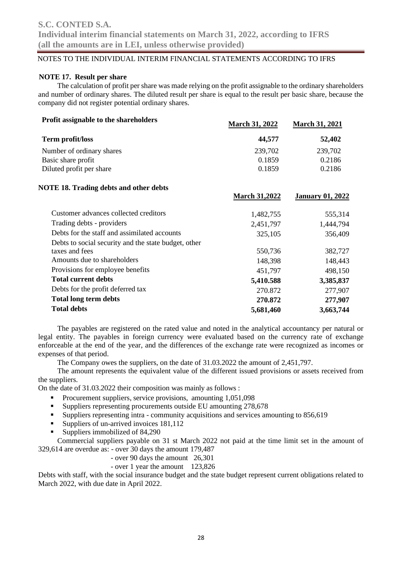### **NOTE 17. Result per share**

The calculation of profit per share was made relying on the profit assignable to the ordinary shareholders and number of ordinary shares. The diluted result per share is equal to the result per basic share, because the company did not register potential ordinary shares.

| <b>Profit assignable to the shareholders</b>         | March 31, 2022       | <b>March 31, 2021</b>   |
|------------------------------------------------------|----------------------|-------------------------|
| Term profit/loss                                     | 44,577               | 52,402                  |
| Number of ordinary shares                            | 239,702              | 239,702                 |
| Basic share profit                                   | 0.1859               | 0.2186                  |
| Diluted profit per share                             | 0.1859               | 0.2186                  |
| <b>NOTE 18. Trading debts and other debts</b>        |                      |                         |
|                                                      | <b>March 31,2022</b> | <b>January 01, 2022</b> |
| Customer advances collected creditors                | 1,482,755            | 555,314                 |
| Trading debts - providers                            | 2,451,797            | 1,444,794               |
| Debts for the staff and assimilated accounts         | 325,105              | 356,409                 |
| Debts to social security and the state budget, other |                      |                         |
| taxes and fees                                       | 550,736              | 382,727                 |
| Amounts due to shareholders                          | 148,398              | 148,443                 |
| Provisions for employee benefits                     | 451,797              | 498,150                 |
| <b>Total current debts</b>                           | 5,410.588            | 3,385,837               |
| Debts for the profit deferred tax                    | 270.872              | 277,907                 |
| <b>Total long term debts</b>                         | 270.872              | 277,907                 |
| <b>Total debts</b>                                   | 5,681,460            | 3,663,744               |

The payables are registered on the rated value and noted in the analytical accountancy per natural or legal entity. The payables in foreign currency were evaluated based on the currency rate of exchange enforceable at the end of the year, and the differences of the exchange rate were recognized as incomes or expenses of that period.

The Company owes the suppliers, on the date of 31.03.2022 the amount of 2,451,797.

The amount represents the equivalent value of the different issued provisions or assets received from the suppliers.

On the date of 31.03.2022 their composition was mainly as follows :

- Procurement suppliers, service provisions, amounting 1,051,098
- Suppliers representing procurements outside EU amounting 278,678<br>■ Suppliers representing intra community acquisitions and services am
- Suppliers representing intra community acquisitions and services amounting to 856,619
- Suppliers of un-arrived invoices 181,112
- Suppliers immobilized of 84,290

Commercial suppliers payable on 31 st March 2022 not paid at the time limit set in the amount of 329,614 are overdue as: - over 30 days the amount 179,487

- over 90 days the amount 26,301
- over 1 year the amount 123,826

Debts with staff, with the social insurance budget and the state budget represent current obligations related to March 2022, with due date in April 2022.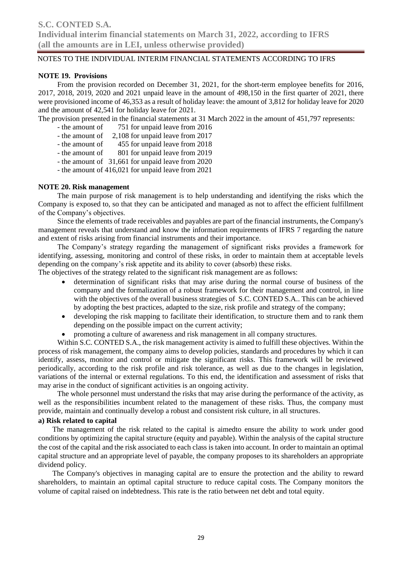### **NOTE 19. Provisions**

From the provision recorded on December 31, 2021, for the short-term employee benefits for 2016, 2017, 2018, 2019, 2020 and 2021 unpaid leave in the amount of 498,150 in the first quarter of 2021, there were provisioned income of 46,353 as a result of holiday leave: the amount of 3,812 for holiday leave for 2020 and the amount of 42,541 for holiday leave for 2021.

The provision presented in the financial statements at 31 March 2022 in the amount of 451,797 represents:

- the amount of 751 for unpaid leave from 2016
- the amount of 2,108 for unpaid leave from 2017
- the amount of 455 for unpaid leave from 2018
- the amount of 801 for unpaid leave from 2019
- the amount of 31,661 for unpaid leave from 2020
- the amount of 416,021 for unpaid leave from 2021

### **NOTE 20. Risk management**

The main purpose of risk management is to help understanding and identifying the risks which the Company is exposed to, so that they can be anticipated and managed as not to affect the efficient fulfillment of the Company's objectives.

Since the elements of trade receivables and payables are part of the financial instruments, the Company's management reveals that understand and know the information requirements of IFRS 7 regarding the nature and extent of risks arising from financial instruments and their importance.

The Company's strategy regarding the management of significant risks provides a framework for identifying, assessing, monitoring and control of these risks, in order to maintain them at acceptable levels depending on the company's risk appetite and its ability to cover (absorb) these risks.

The objectives of the strategy related to the significant risk management are as follows:

- determination of significant risks that may arise during the normal course of business of the company and the formalization of a robust framework for their management and control, in line with the objectives of the overall business strategies of S.C. CONTED S.A.. This can be achieved by adopting the best practices, adapted to the size, risk profile and strategy of the company;
- developing the risk mapping to facilitate their identification, to structure them and to rank them depending on the possible impact on the current activity;
- promoting a culture of awareness and risk management in all company structures.

Within S.C. CONTED S.A., the risk management activity is aimed to fulfill these objectives. Within the process of risk management, the company aims to develop policies, standards and procedures by which it can identify, assess, monitor and control or mitigate the significant risks. This framework will be reviewed periodically, according to the risk profile and risk tolerance, as well as due to the changes in legislation, variations of the internal or external regulations. To this end, the identification and assessment of risks that may arise in the conduct of significant activities is an ongoing activity.

The whole personnel must understand the risks that may arise during the performance of the activity, as well as the responsibilities incumbent related to the management of these risks. Thus, the company must provide, maintain and continually develop a robust and consistent risk culture, in all structures.

### **a) Risk related to capital**

The management of the risk related to the capital is aimedto ensure the ability to work under good conditions by optimizing the capital structure (equity and payable). Within the analysis of the capital structure the cost of the capital and the risk associated to each class is taken into account. In order to maintain an optimal capital structure and an appropriate level of payable, the company proposes to its shareholders an appropriate dividend policy.

The Company's objectives in managing capital are to ensure the protection and the ability to reward shareholders, to maintain an optimal capital structure to reduce capital costs. The Company monitors the volume of capital raised on indebtedness. This rate is the ratio between net debt and total equity.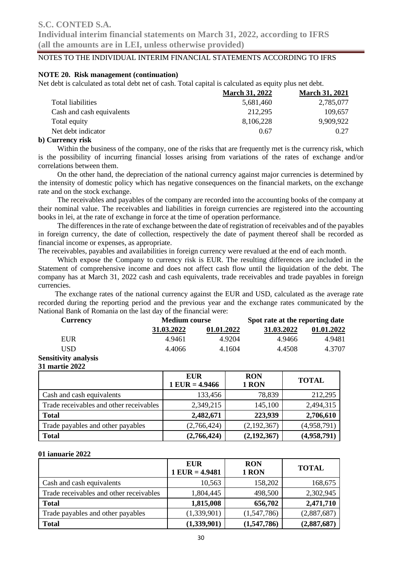**Individual interim financial statements on March 31, 2022, according to IFRS (all the amounts are in LEI, unless otherwise provided)**

### NOTES TO THE INDIVIDUAL INTERIM FINANCIAL STATEMENTS ACCORDING TO IFRS

### **NOTE 20. Risk management (continuation)**

Net debt is calculated as total debt net of cash. Total capital is calculated as equity plus net debt.

| <b>March 31, 2022</b> | <b>March 31, 2021</b> |
|-----------------------|-----------------------|
| 5,681,460             | 2,785,077             |
| 212,295               | 109.657               |
| 8,106,228             | 9,909,922             |
| 0.67                  | 0.27                  |
|                       |                       |

### **b) Currency risk**

Within the business of the company, one of the risks that are frequently met is the currency risk, which is the possibility of incurring financial losses arising from variations of the rates of exchange and/or correlations between them.

On the other hand, the depreciation of the national currency against major currencies is determined by the intensity of domestic policy which has negative consequences on the financial markets, on the exchange rate and on the stock exchange.

The receivables and payables of the company are recorded into the accounting books of the company at their nominal value. The receivables and liabilities in foreign currencies are registered into the accounting books in lei, at the rate of exchange in force at the time of operation performance.

The differences in the rate of exchange between the date of registration of receivables and of the payables in foreign currency, the date of collection, respectively the date of payment thereof shall be recorded as financial income or expenses, as appropriate.

The receivables, payables and availabilities in foreign currency were revalued at the end of each month.

Which expose the Company to currency risk is EUR. The resulting differences are included in the Statement of comprehensive income and does not affect cash flow until the liquidation of the debt. The company has at March 31, 2022 cash and cash equivalents, trade receivables and trade payables in foreign currencies.

The exchange rates of the national currency against the EUR and USD, calculated as the average rate recorded during the reporting period and the previous year and the exchange rates communicated by the National Bank of Romania on the last day of the financial were:

| <b>Currency</b>             | <b>Medium course</b> |            | Spot rate at the reporting date |            |
|-----------------------------|----------------------|------------|---------------------------------|------------|
|                             | 31.03.2022           | 01.01.2022 | 31.03.2022                      | 01.01.2022 |
| EUR                         | 4.9461               | 4.9204     | 4.9466                          | 4.9481     |
| USD                         | 4.4066               | 4.1604     | 4.4508                          | 4.3707     |
| <b>Sensitivity analysis</b> |                      |            |                                 |            |

**31 martie 2022**

|                                         | <b>EUR</b><br>$1$ EUR = 4.9466 | <b>RON</b><br>1 RON | <b>TOTAL</b> |
|-----------------------------------------|--------------------------------|---------------------|--------------|
| Cash and cash equivalents               | 133,456                        | 78,839              | 212,295      |
| Trade receivables and other receivables | 2,349,215                      | 145,100             | 2,494,315    |
| <b>Total</b>                            | 2,482,671                      | 223,939             | 2,706,610    |
| Trade payables and other payables       | (2,766,424)                    | (2,192,367)         | (4,958,791)  |
| <b>Total</b>                            | (2,766,424)                    | (2, 192, 367)       | (4,958,791)  |

### **01 ianuarie 2022**

|                                         | EUR<br>$1$ EUR = 4.9481 | <b>RON</b><br>1 RON | <b>TOTAL</b> |
|-----------------------------------------|-------------------------|---------------------|--------------|
| Cash and cash equivalents               | 10,563                  | 158,202             | 168,675      |
| Trade receivables and other receivables | 1,804,445               | 498,500             | 2,302,945    |
| <b>Total</b>                            | 1,815,008               | 656,702             | 2,471,710    |
| Trade payables and other payables       | (1,339,901)             | (1,547,786)         | (2,887,687)  |
| <b>Total</b>                            | (1,339,901)             | (1,547,786)         | (2,887,687)  |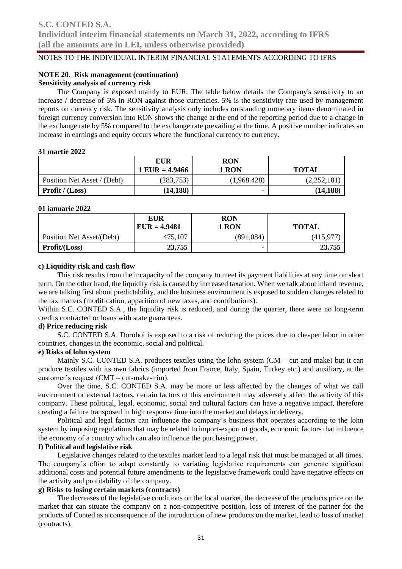## **NOTE 20. Risk management (continuation)**

### **Sensitivity analysis of currency risk**

The Company is exposed mainly to EUR. The table below details the Company's sensitivity to an increase / decrease of 5% in RON against those currencies. 5% is the sensitivity rate used by management reports on currency risk. The sensitivity analysis only includes outstanding monetary items denominated in foreign currency conversion into RON shows the change at the end of the reporting period due to a change in the exchange rate by 5% compared to the exchange rate prevailing at the time. A positive number indicates an increase in earnings and equity occurs where the functional currency to currency.

#### **31 martie 2022**

|                             | EUR<br>$1$ EUR = 4.9466 | <b>RON</b><br>l RON | <b>TOTAL</b> |
|-----------------------------|-------------------------|---------------------|--------------|
| Position Net Asset / (Debt) | (283, 753)              | (1,968.428)         | (2,252,181)  |
| <b>Profit</b> / $(Loss)$    | (14, 188)               |                     | (14, 188)    |

#### **01 ianuarie 2022**

|                           | EUR<br>$EUR = 4.9481$ | RON<br>1 RON | <b>TOTAL</b> |
|---------------------------|-----------------------|--------------|--------------|
| Position Net Asset/(Debt) | 475,107               | (891, 084)   | (415,977     |
| Profit/(Loss)             | 23,755                |              | 23.755       |

### **c) Liquidity risk and cash flow**

This risk results from the incapacity of the company to meet its payment liabilities at any time on short term. On the other hand, the liquidity risk is caused by increased taxation. When we talk about inland revenue, we are talking first about predictability, and the business environment is exposed to sudden changes related to the tax matters (modification, apparition of new taxes, and contributions).

Within S.C. CONTED S.A., the liquidity risk is reduced, and during the quarter, there were no long-term credits contracted or loans with state guarantees.

### **d) Price reducing risk**

S.C. CONTED S.A. Dorohoi is exposed to a risk of reducing the prices due to cheaper labor in other countries, changes in the economic, social and political.

### **e) Risks of lohn system**

Mainly S.C. CONTED S.A. produces textiles using the lohn system  $(CM - cut$  and make) but it can produce textiles with its own fabrics (imported from France, Italy, Spain, Turkey etc.) and auxiliary, at the customer's request (CMT – cut-make-trim).

Over the time, S.C. CONTED S.A. may be more or less affected by the changes of what we call environment or external factors, certain factors of this environment may adversely affect the activity of this company. These political, legal, economic, social and cultural factors can have a negative impact, therefore creating a failure transposed in high response time into the market and delays in delivery.

Political and legal factors can influence the company's business that operates according to the lohn system by imposing regulations that may be related to import-export of goods, economic factors that influence the economy of a country which can also influence the purchasing power.

### **f) Political and legislative risk**

Legislative changes related to the textiles market lead to a legal risk that must be managed at all times. The company's effort to adapt constantly to variating legislative requirements can generate significant additional costs and potential future amendments to the legislative framework could have negative effects on the activity and profitability of the company.

### **g) Risks to losing certain markets (contracts)**

The decreases of the legislative conditions on the local market, the decrease of the products price on the market that can situate the company on a non-competitive position, loss of interest of the partner for the products of Conted as a consequence of the introduction of new products on the market, lead to loss of market (contracts).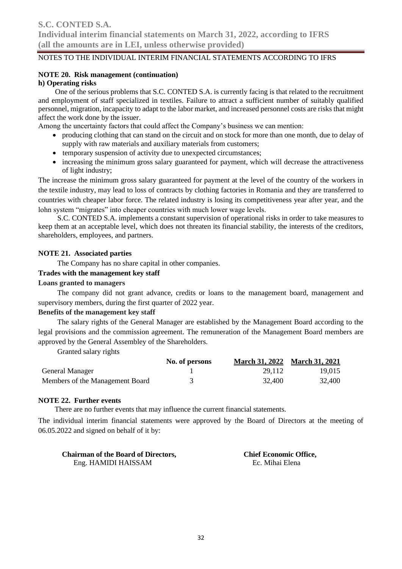### **NOTE 20. Risk management (continuation)**

### **h) Operating risks**

 One of the serious problems that S.C. CONTED S.A. is currently facing is that related to the recruitment and employment of staff specialized in textiles. Failure to attract a sufficient number of suitably qualified personnel, migration, incapacity to adapt to the labor market, and increased personnel costs are risks that might affect the work done by the issuer.

Among the uncertainty factors that could affect the Company's business we can mention:

- producing clothing that can stand on the circuit and on stock for more than one month, due to delay of supply with raw materials and auxiliary materials from customers;
- temporary suspension of activity due to unexpected circumstances;
- increasing the minimum gross salary guaranteed for payment, which will decrease the attractiveness of light industry;

The increase the minimum gross salary guaranteed for payment at the level of the country of the workers in the textile industry, may lead to loss of contracts by clothing factories in Romania and they are transferred to countries with cheaper labor force. The related industry is losing its competitiveness year after year, and the lohn system "migrates" into cheaper countries with much lower wage levels.

S.C. CONTED S.A. implements a constant supervision of operational risks in order to take measures to keep them at an acceptable level, which does not threaten its financial stability, the interests of the creditors, shareholders, employees, and partners.

### **NOTE 21. Associated parties**

The Company has no share capital in other companies.

### **Trades with the management key staff**

### **Loans granted to managers**

The company did not grant advance, credits or loans to the management board, management and supervisory members, during the first quarter of 2022 year.

### **Benefits of the management key staff**

The salary rights of the General Manager are established by the Management Board according to the legal provisions and the commission agreement. The remuneration of the Management Board members are approved by the General Assembley of the Shareholders.

Granted salary rights

|                                 | No. of persons | March 31, 2022 March 31, 2021 |        |
|---------------------------------|----------------|-------------------------------|--------|
| <b>General Manager</b>          |                | 29.112                        | 19.015 |
| Members of the Management Board |                | 32,400                        | 32,400 |

### **NOTE 22. Further events**

There are no further events that may influence the current financial statements.

The individual interim financial statements were approved by the Board of Directors at the meeting of 06.05.2022 and signed on behalf of it by:

| <b>Chairman of the Board of Directors,</b> | <b>Chief Economic Office,</b> |
|--------------------------------------------|-------------------------------|
| Eng. HAMIDI HAISSAM                        | Ec. Mihai Elena               |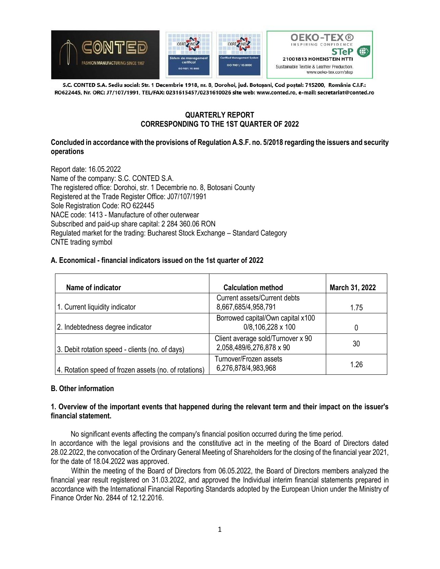

S.C. CONTED S.A. Sediu social: Str. 1 Decembrie 1918, nr. 8, Dorohoi, jud. Botoșani, Cod poștal: 715200, România C.I.F.: RO622445, Nr. ORC: J7/107/1991, TEL/FAX: 0231615457/0231610026 site web: www.conted.ro, e-mail: secretariat@conted.ro

### **QUARTERLY REPORT CORRESPONDING TO THE 1ST QUARTER OF 2022**

### **Concluded in accordance with the provisions of Regulation A.S.F. no. 5/2018 regarding the issuers and security operations**

Report date: 16.05.2022 Name of the company: S.C. CONTED S.A. The registered office: Dorohoi, str. 1 Decembrie no. 8, Botosani County Registered at the Trade Register Office: J07/107/1991 Sole Registration Code: RO 622445 NACE code: 1413 - Manufacture of other outerwear Subscribed and paid-up share capital: 2 284 360.06 RON Regulated market for the trading: Bucharest Stock Exchange – Standard Category CNTE trading symbol

### **A. Economical - financial indicators issued on the 1st quarter of 2022**

| Name of indicator                                     | <b>Calculation method</b>                                     | March 31, 2022 |
|-------------------------------------------------------|---------------------------------------------------------------|----------------|
| 1. Current liquidity indicator                        | <b>Current assets/Current debts</b><br>8,667,685/4,958,791    | 1.75           |
| 2. Indebtedness degree indicator                      | Borrowed capital/Own capital x100<br>0/8,106,228 x 100        | 0              |
| 3. Debit rotation speed - clients (no. of days)       | Client average sold/Turnover x 90<br>2,058,489/6,276,878 x 90 | 30             |
| 4. Rotation speed of frozen assets (no. of rotations) | Turnover/Frozen assets<br>6,276,878/4,983,968                 | 1.26           |

### **B. Other information**

### **1. Overview of the important events that happened during the relevant term and their impact on the issuer's financial statement.**

 No significant events affecting the company's financial position occurred during the time period. In accordance with the legal provisions and the constitutive act in the meeting of the Board of Directors dated 28.02.2022, the convocation of the Ordinary General Meeting of Shareholders for the closing of the financial year 2021, for the date of 18.04.2022 was approved.

Within the meeting of the Board of Directors from 06.05.2022, the Board of Directors members analyzed the financial year result registered on 31.03.2022, and approved the Individual interim financial statements prepared in accordance with the International Financial Reporting Standards adopted by the European Union under the Ministry of Finance Order No. 2844 of 12.12.2016.